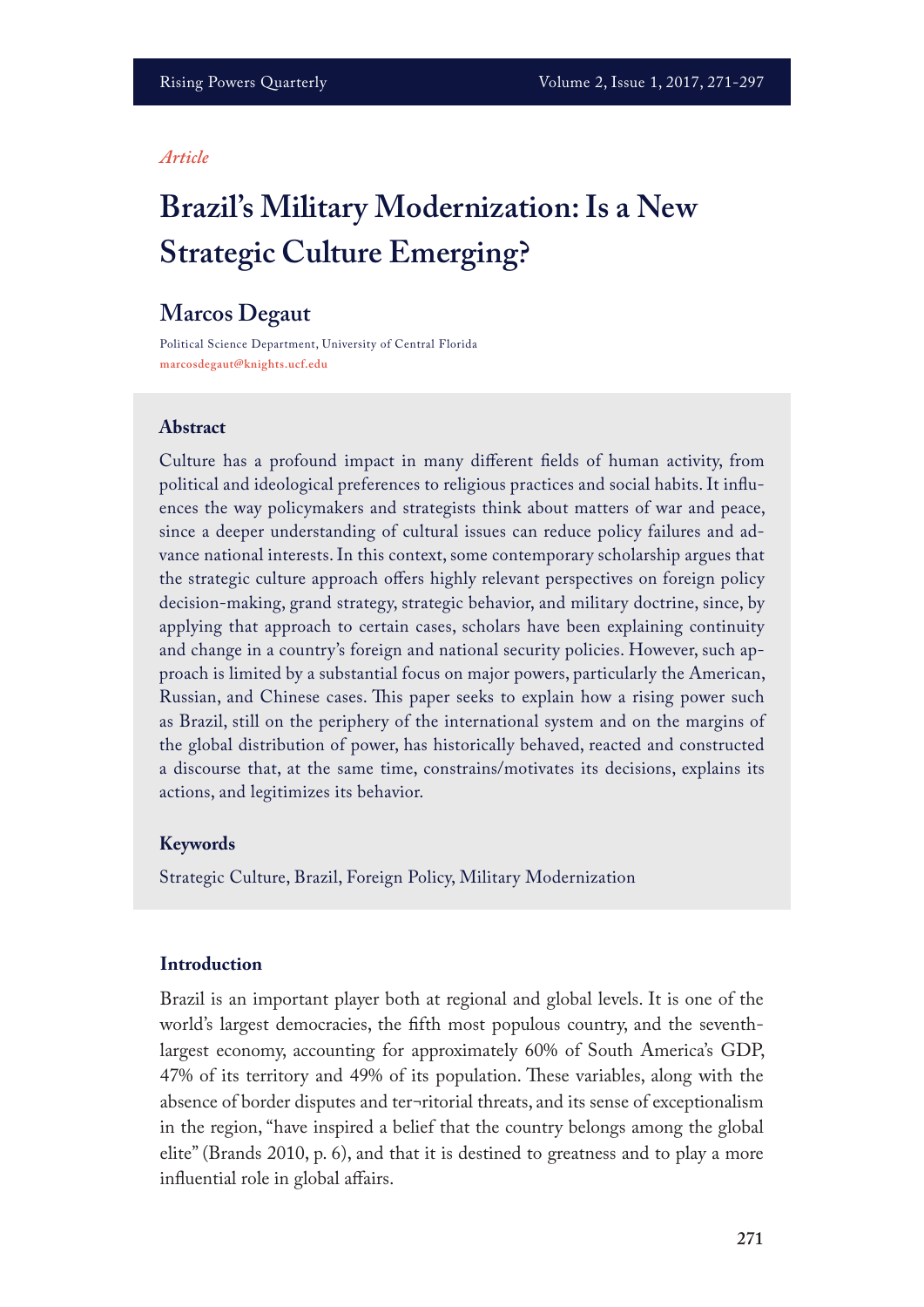#### *Article*

# **Brazil's Military Modernization: Is a New Strategic Culture Emerging?**

# **Marcos Degaut**

Political Science Department, University of Central Florida **marcosdegaut@knights.ucf.edu**

#### **Abstract**

Culture has a profound impact in many diferent felds of human activity, from political and ideological preferences to religious practices and social habits. It infuences the way policymakers and strategists think about matters of war and peace, since a deeper understanding of cultural issues can reduce policy failures and advance national interests. In this context, some contemporary scholarship argues that the strategic culture approach ofers highly relevant perspectives on foreign policy decision-making, grand strategy, strategic behavior, and military doctrine, since, by applying that approach to certain cases, scholars have been explaining continuity and change in a country's foreign and national security policies. However, such approach is limited by a substantial focus on major powers, particularly the American, Russian, and Chinese cases. Tis paper seeks to explain how a rising power such as Brazil, still on the periphery of the international system and on the margins of the global distribution of power, has historically behaved, reacted and constructed a discourse that, at the same time, constrains/motivates its decisions, explains its actions, and legitimizes its behavior.

#### **Keywords**

Strategic Culture, Brazil, Foreign Policy, Military Modernization

## **Introduction**

Brazil is an important player both at regional and global levels. It is one of the world's largest democracies, the ffth most populous country, and the seventhlargest economy, accounting for approximately 60% of South America's GDP, 47% of its territory and 49% of its population. These variables, along with the absence of border disputes and ter¬ritorial threats, and its sense of exceptionalism in the region, "have inspired a belief that the country belongs among the global elite" (Brands 2010, p. 6), and that it is destined to greatness and to play a more influential role in global affairs.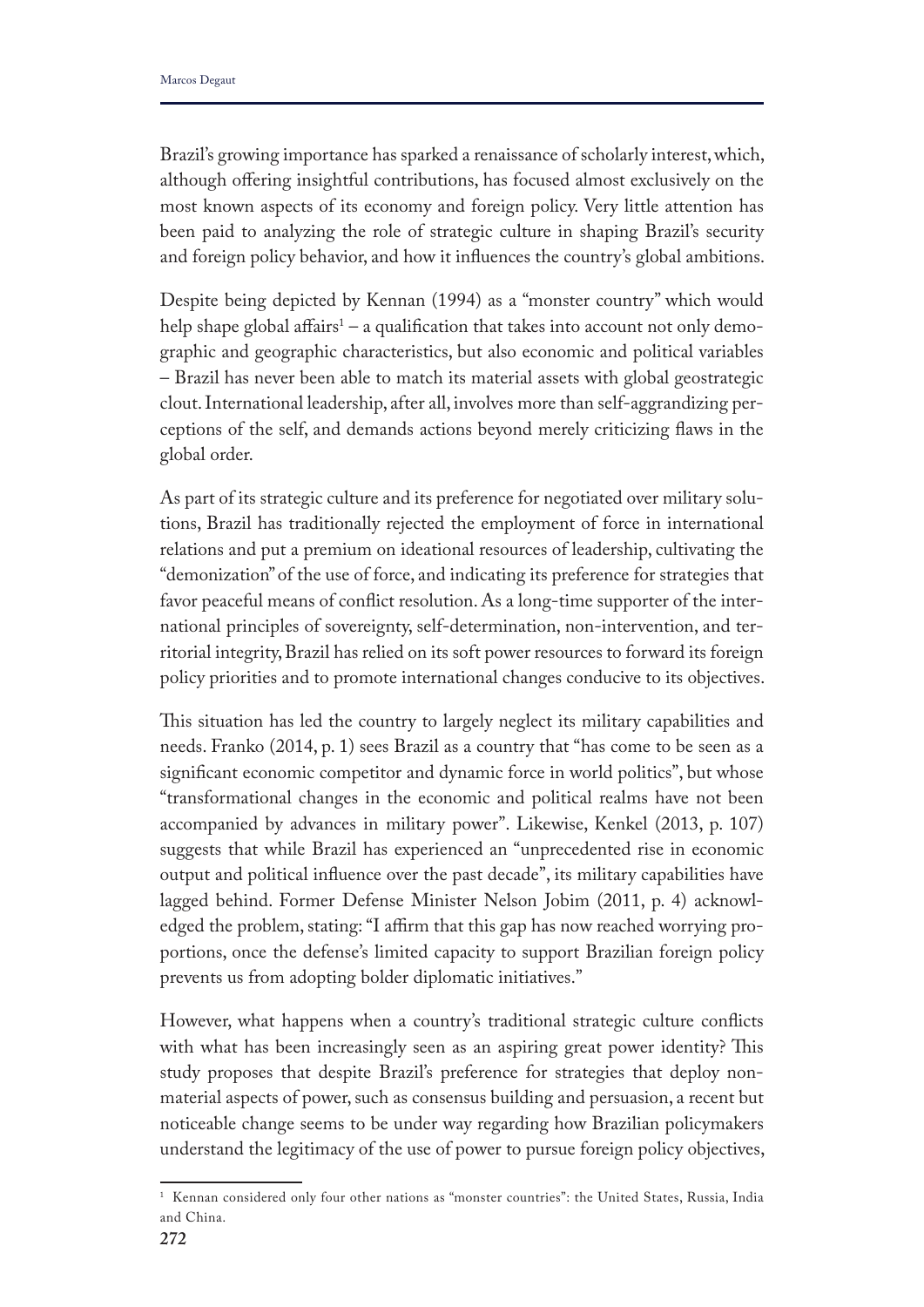Brazil's growing importance has sparked a renaissance of scholarly interest, which, although ofering insightful contributions, has focused almost exclusively on the most known aspects of its economy and foreign policy. Very little attention has been paid to analyzing the role of strategic culture in shaping Brazil's security and foreign policy behavior, and how it infuences the country's global ambitions.

Despite being depicted by Kennan (1994) as a "monster country" which would help shape global affairs<sup>1</sup> – a qualification that takes into account not only demographic and geographic characteristics, but also economic and political variables – Brazil has never been able to match its material assets with global geostrategic clout. International leadership, after all, involves more than self-aggrandizing perceptions of the self, and demands actions beyond merely criticizing faws in the global order.

As part of its strategic culture and its preference for negotiated over military solutions, Brazil has traditionally rejected the employment of force in international relations and put a premium on ideational resources of leadership, cultivating the "demonization" of the use of force, and indicating its preference for strategies that favor peaceful means of confict resolution. As a long-time supporter of the international principles of sovereignty, self-determination, non-intervention, and territorial integrity, Brazil has relied on its soft power resources to forward its foreign policy priorities and to promote international changes conducive to its objectives.

This situation has led the country to largely neglect its military capabilities and needs. Franko (2014, p. 1) sees Brazil as a country that "has come to be seen as a signifcant economic competitor and dynamic force in world politics", but whose "transformational changes in the economic and political realms have not been accompanied by advances in military power". Likewise, Kenkel (2013, p. 107) suggests that while Brazil has experienced an "unprecedented rise in economic output and political infuence over the past decade", its military capabilities have lagged behind. Former Defense Minister Nelson Jobim (2011, p. 4) acknowledged the problem, stating: "I affirm that this gap has now reached worrying proportions, once the defense's limited capacity to support Brazilian foreign policy prevents us from adopting bolder diplomatic initiatives."

However, what happens when a country's traditional strategic culture conficts with what has been increasingly seen as an aspiring great power identity? This study proposes that despite Brazil's preference for strategies that deploy nonmaterial aspects of power, such as consensus building and persuasion, a recent but noticeable change seems to be under way regarding how Brazilian policymakers understand the legitimacy of the use of power to pursue foreign policy objectives,

<sup>1</sup> Kennan considered only four other nations as "monster countries": the United States, Russia, India and China.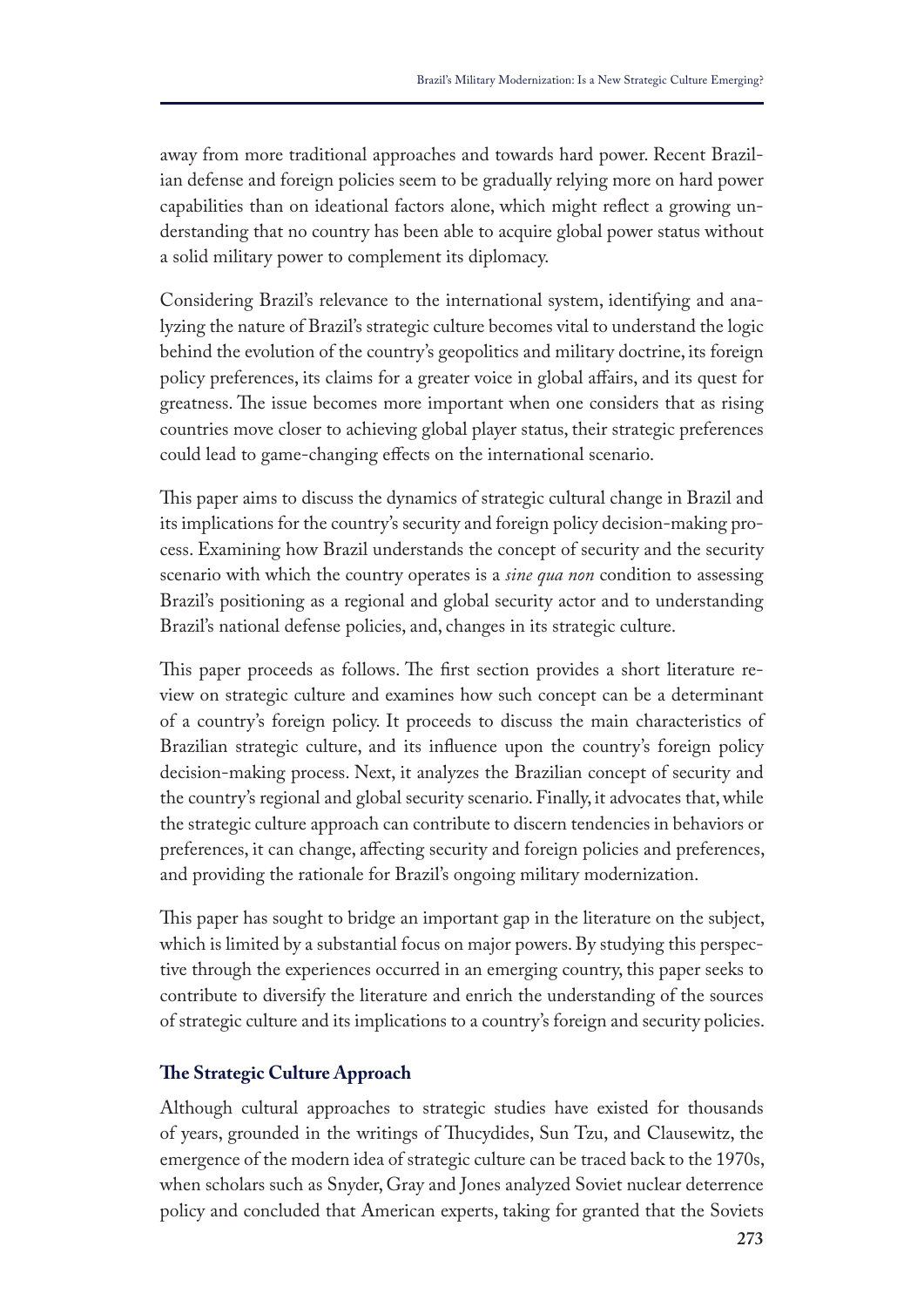away from more traditional approaches and towards hard power. Recent Brazilian defense and foreign policies seem to be gradually relying more on hard power capabilities than on ideational factors alone, which might refect a growing understanding that no country has been able to acquire global power status without a solid military power to complement its diplomacy.

Considering Brazil's relevance to the international system, identifying and analyzing the nature of Brazil's strategic culture becomes vital to understand the logic behind the evolution of the country's geopolitics and military doctrine, its foreign policy preferences, its claims for a greater voice in global afairs, and its quest for greatness. The issue becomes more important when one considers that as rising countries move closer to achieving global player status, their strategic preferences could lead to game-changing efects on the international scenario.

This paper aims to discuss the dynamics of strategic cultural change in Brazil and its implications for the country's security and foreign policy decision-making process. Examining how Brazil understands the concept of security and the security scenario with which the country operates is a *sine qua non* condition to assessing Brazil's positioning as a regional and global security actor and to understanding Brazil's national defense policies, and, changes in its strategic culture.

This paper proceeds as follows. The first section provides a short literature review on strategic culture and examines how such concept can be a determinant of a country's foreign policy. It proceeds to discuss the main characteristics of Brazilian strategic culture, and its infuence upon the country's foreign policy decision-making process. Next, it analyzes the Brazilian concept of security and the country's regional and global security scenario. Finally, it advocates that, while the strategic culture approach can contribute to discern tendencies in behaviors or preferences, it can change, afecting security and foreign policies and preferences, and providing the rationale for Brazil's ongoing military modernization.

This paper has sought to bridge an important gap in the literature on the subject, which is limited by a substantial focus on major powers. By studying this perspective through the experiences occurred in an emerging country, this paper seeks to contribute to diversify the literature and enrich the understanding of the sources of strategic culture and its implications to a country's foreign and security policies.

# **Te Strategic Culture Approach**

Although cultural approaches to strategic studies have existed for thousands of years, grounded in the writings of Tucydides, Sun Tzu, and Clausewitz, the emergence of the modern idea of strategic culture can be traced back to the 1970s, when scholars such as Snyder, Gray and Jones analyzed Soviet nuclear deterrence policy and concluded that American experts, taking for granted that the Soviets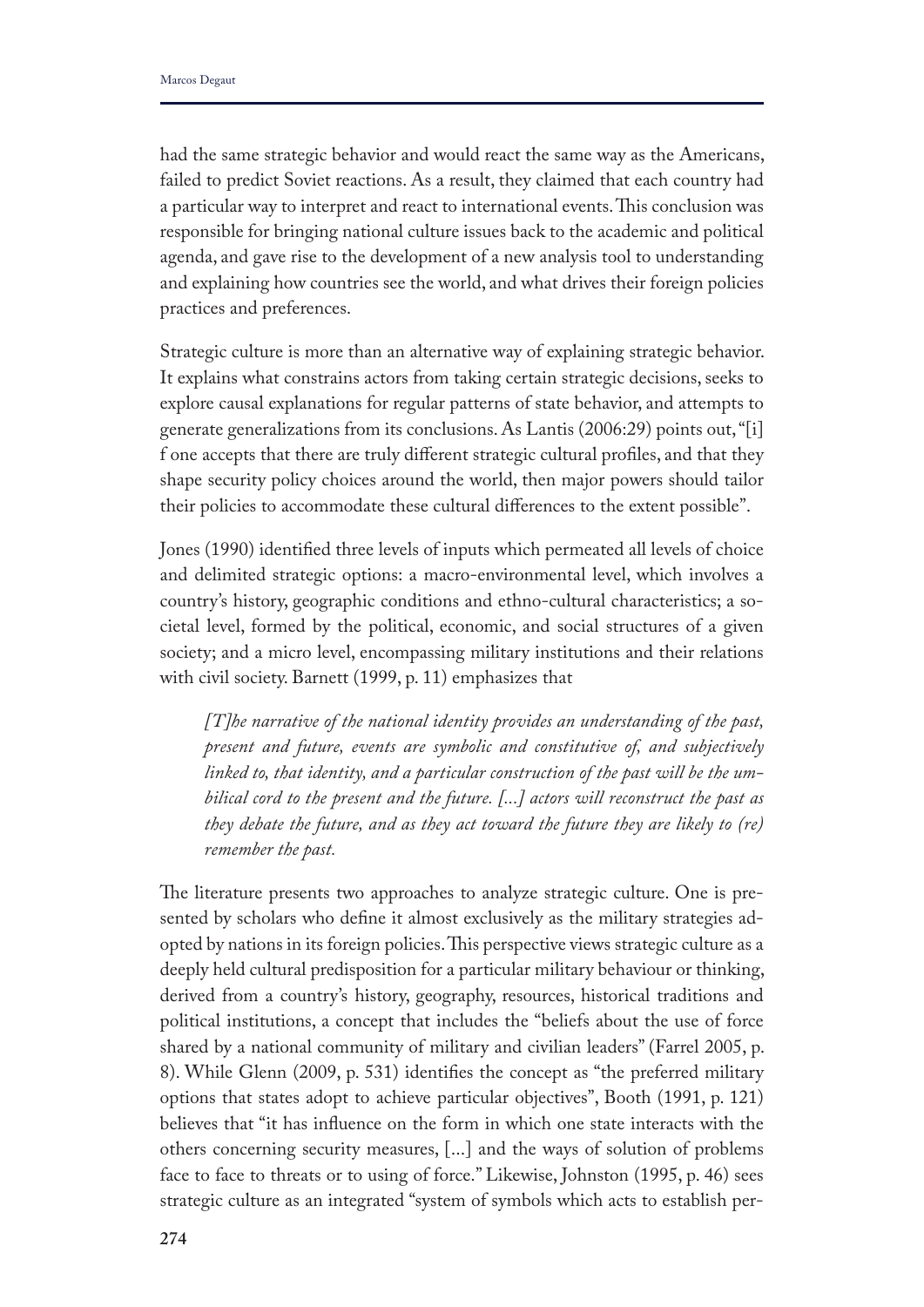had the same strategic behavior and would react the same way as the Americans, failed to predict Soviet reactions. As a result, they claimed that each country had a particular way to interpret and react to international events. This conclusion was responsible for bringing national culture issues back to the academic and political agenda, and gave rise to the development of a new analysis tool to understanding and explaining how countries see the world, and what drives their foreign policies practices and preferences.

Strategic culture is more than an alternative way of explaining strategic behavior. It explains what constrains actors from taking certain strategic decisions, seeks to explore causal explanations for regular patterns of state behavior, and attempts to generate generalizations from its conclusions. As Lantis (2006:29) points out, "[i] f one accepts that there are truly diferent strategic cultural profles, and that they shape security policy choices around the world, then major powers should tailor their policies to accommodate these cultural diferences to the extent possible".

Jones (1990) identifed three levels of inputs which permeated all levels of choice and delimited strategic options: a macro-environmental level, which involves a country's history, geographic conditions and ethno-cultural characteristics; a societal level, formed by the political, economic, and social structures of a given society; and a micro level, encompassing military institutions and their relations with civil society. Barnett (1999, p. 11) emphasizes that

*[T]he narrative of the national identity provides an understanding of the past, present and future, events are symbolic and constitutive of, and subjectively linked to, that identity, and a particular construction of the past will be the umbilical cord to the present and the future. [...] actors will reconstruct the past as they debate the future, and as they act toward the future they are likely to (re) remember the past.* 

The literature presents two approaches to analyze strategic culture. One is presented by scholars who defne it almost exclusively as the military strategies adopted by nations in its foreign policies. This perspective views strategic culture as a deeply held cultural predisposition for a particular military behaviour or thinking, derived from a country's history, geography, resources, historical traditions and political institutions, a concept that includes the "beliefs about the use of force shared by a national community of military and civilian leaders" (Farrel 2005, p. 8). While Glenn (2009, p. 531) identifes the concept as "the preferred military options that states adopt to achieve particular objectives", Booth (1991, p. 121) believes that "it has infuence on the form in which one state interacts with the others concerning security measures, [...] and the ways of solution of problems face to face to threats or to using of force." Likewise, Johnston (1995, p. 46) sees strategic culture as an integrated "system of symbols which acts to establish per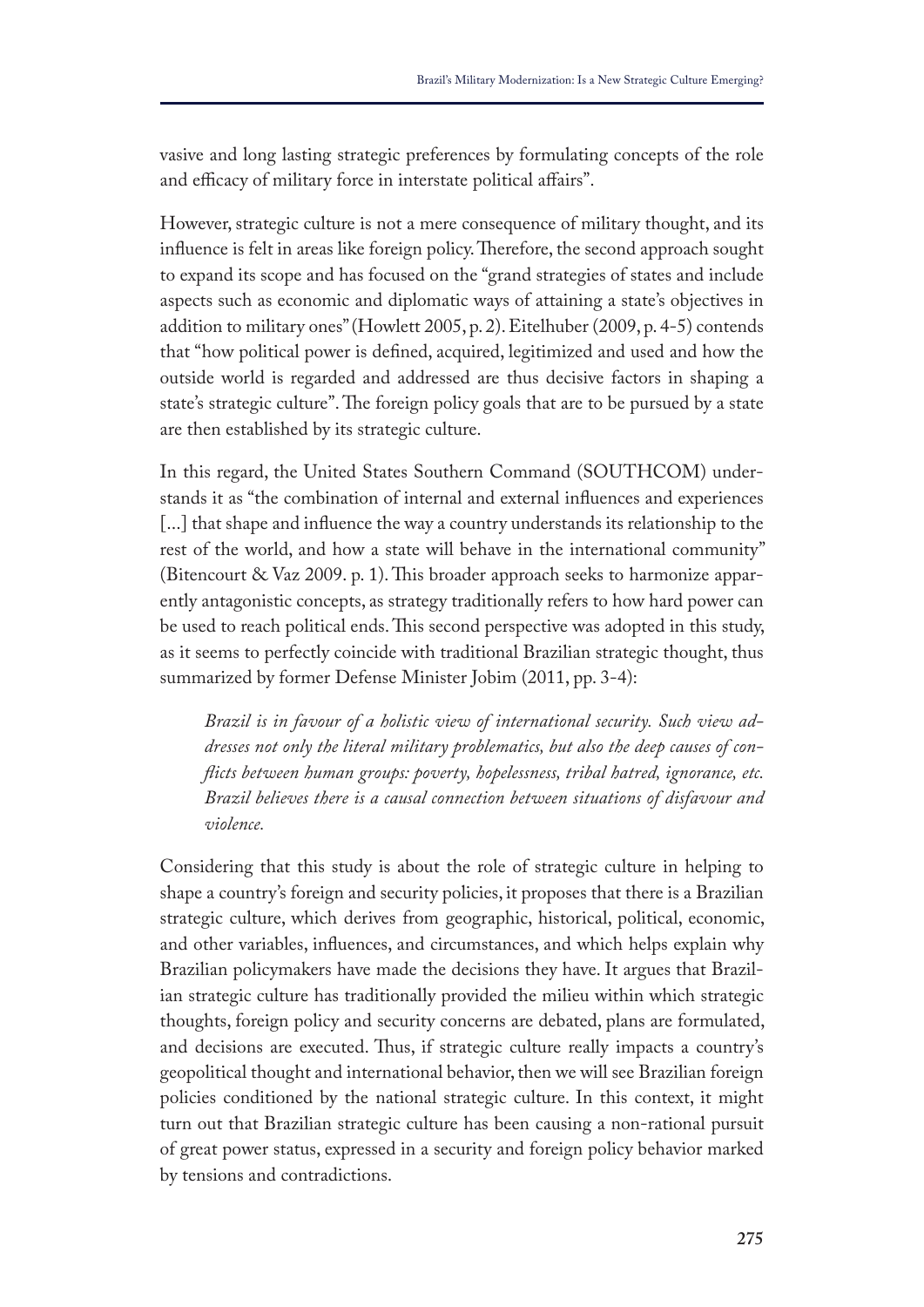vasive and long lasting strategic preferences by formulating concepts of the role and efficacy of military force in interstate political affairs".

However, strategic culture is not a mere consequence of military thought, and its influence is felt in areas like foreign policy. Therefore, the second approach sought to expand its scope and has focused on the "grand strategies of states and include aspects such as economic and diplomatic ways of attaining a state's objectives in addition to military ones" (Howlett 2005, p. 2). Eitelhuber (2009, p. 4-5) contends that "how political power is defned, acquired, legitimized and used and how the outside world is regarded and addressed are thus decisive factors in shaping a state's strategic culture". The foreign policy goals that are to be pursued by a state are then established by its strategic culture.

In this regard, the United States Southern Command (SOUTHCOM) understands it as "the combination of internal and external infuences and experiences [...] that shape and influence the way a country understands its relationship to the rest of the world, and how a state will behave in the international community" (Bitencourt & Vaz 2009. p. 1). Tis broader approach seeks to harmonize apparently antagonistic concepts, as strategy traditionally refers to how hard power can be used to reach political ends. This second perspective was adopted in this study, as it seems to perfectly coincide with traditional Brazilian strategic thought, thus summarized by former Defense Minister Jobim (2011, pp. 3-4):

*Brazil is in favour of a holistic view of international security. Such view addresses not only the literal military problematics, but also the deep causes of conficts between human groups: poverty, hopelessness, tribal hatred, ignorance, etc. Brazil believes there is a causal connection between situations of disfavour and violence.*

Considering that this study is about the role of strategic culture in helping to shape a country's foreign and security policies, it proposes that there is a Brazilian strategic culture, which derives from geographic, historical, political, economic, and other variables, infuences, and circumstances, and which helps explain why Brazilian policymakers have made the decisions they have. It argues that Brazilian strategic culture has traditionally provided the milieu within which strategic thoughts, foreign policy and security concerns are debated, plans are formulated, and decisions are executed. Thus, if strategic culture really impacts a country's geopolitical thought and international behavior, then we will see Brazilian foreign policies conditioned by the national strategic culture. In this context, it might turn out that Brazilian strategic culture has been causing a non-rational pursuit of great power status, expressed in a security and foreign policy behavior marked by tensions and contradictions.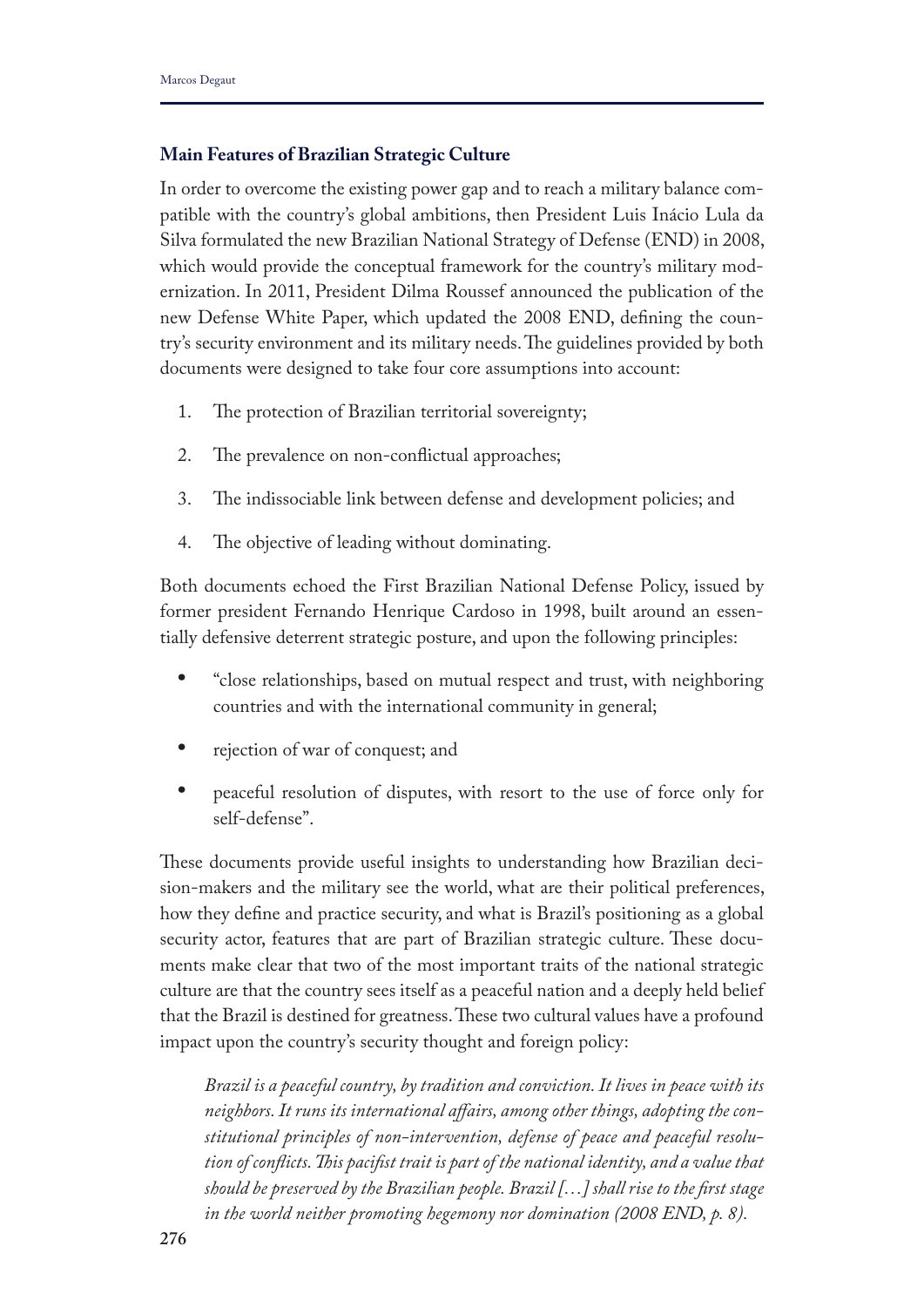## **Main Features of Brazilian Strategic Culture**

In order to overcome the existing power gap and to reach a military balance compatible with the country's global ambitions, then President Luis Inácio Lula da Silva formulated the new Brazilian National Strategy of Defense (END) in 2008, which would provide the conceptual framework for the country's military modernization. In 2011, President Dilma Roussef announced the publication of the new Defense White Paper, which updated the 2008 END, defning the country's security environment and its military needs. The guidelines provided by both documents were designed to take four core assumptions into account:

- 1. The protection of Brazilian territorial sovereignty;
- 2. The prevalence on non-conflictual approaches;
- 3. The indissociable link between defense and development policies; and
- 4. The objective of leading without dominating.

Both documents echoed the First Brazilian National Defense Policy, issued by former president Fernando Henrique Cardoso in 1998, built around an essentially defensive deterrent strategic posture, and upon the following principles:

- **•** "close relationships, based on mutual respect and trust, with neighboring countries and with the international community in general;
- **•** rejection of war of conquest; and
- **•** peaceful resolution of disputes, with resort to the use of force only for self-defense".

These documents provide useful insights to understanding how Brazilian decision-makers and the military see the world, what are their political preferences, how they defne and practice security, and what is Brazil's positioning as a global security actor, features that are part of Brazilian strategic culture. These documents make clear that two of the most important traits of the national strategic culture are that the country sees itself as a peaceful nation and a deeply held belief that the Brazil is destined for greatness. These two cultural values have a profound impact upon the country's security thought and foreign policy:

*Brazil is a peaceful country, by tradition and conviction. It lives in peace with its neighbors. It runs its international afairs, among other things, adopting the constitutional principles of non-intervention, defense of peace and peaceful resolution of conficts. Tis pacifst trait is part of the national identity, and a value that should be preserved by the Brazilian people. Brazil* [...] shall rise to the first stage *in the world neither promoting hegemony nor domination (2008 END, p. 8).*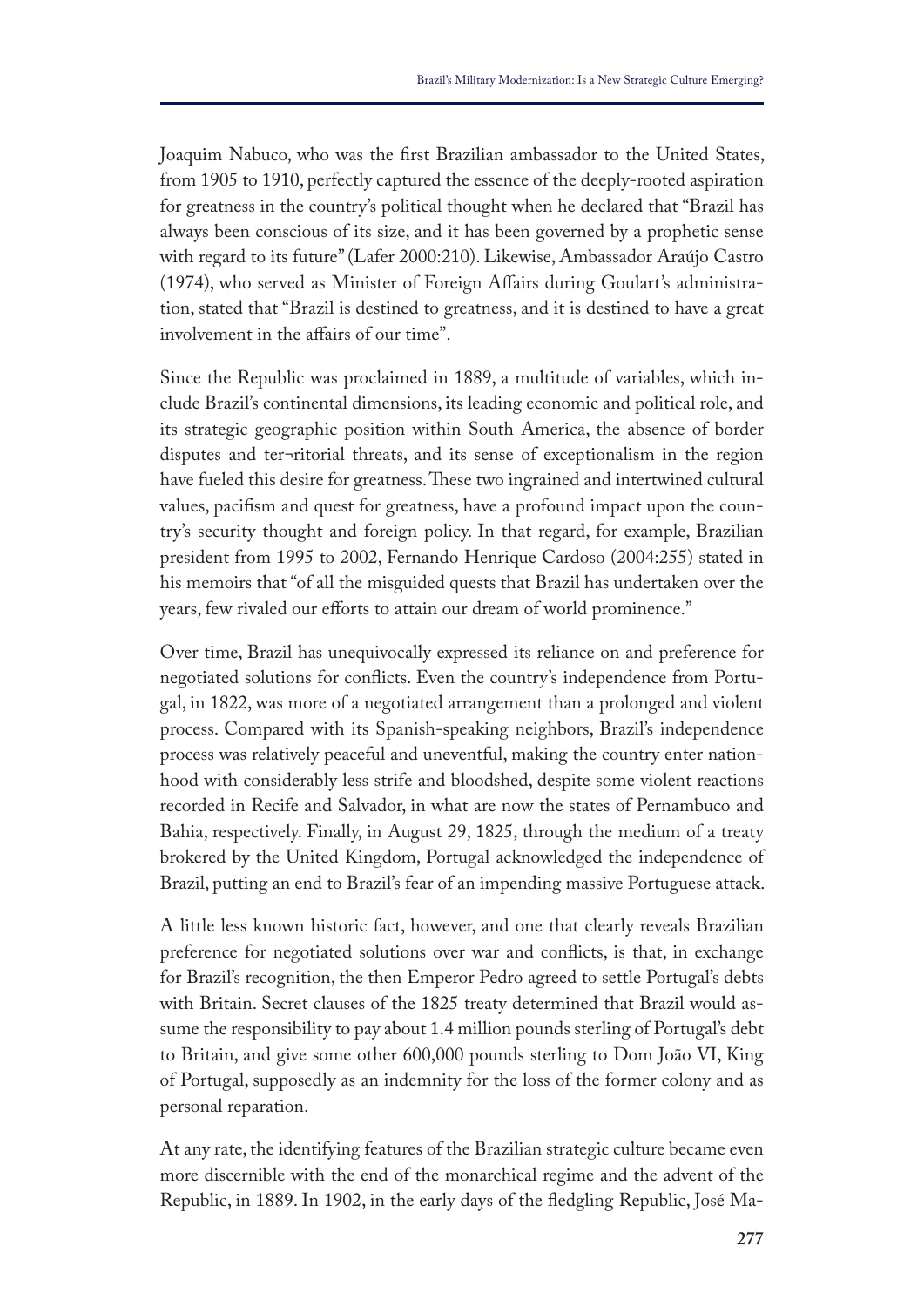Joaquim Nabuco, who was the frst Brazilian ambassador to the United States, from 1905 to 1910, perfectly captured the essence of the deeply-rooted aspiration for greatness in the country's political thought when he declared that "Brazil has always been conscious of its size, and it has been governed by a prophetic sense with regard to its future" (Lafer 2000:210). Likewise, Ambassador Araújo Castro (1974), who served as Minister of Foreign Afairs during Goulart's administration, stated that "Brazil is destined to greatness, and it is destined to have a great involvement in the afairs of our time".

Since the Republic was proclaimed in 1889, a multitude of variables, which include Brazil's continental dimensions, its leading economic and political role, and its strategic geographic position within South America, the absence of border disputes and ter¬ritorial threats, and its sense of exceptionalism in the region have fueled this desire for greatness. These two ingrained and intertwined cultural values, pacifsm and quest for greatness, have a profound impact upon the country's security thought and foreign policy. In that regard, for example, Brazilian president from 1995 to 2002, Fernando Henrique Cardoso (2004:255) stated in his memoirs that "of all the misguided quests that Brazil has undertaken over the years, few rivaled our efforts to attain our dream of world prominence."

Over time, Brazil has unequivocally expressed its reliance on and preference for negotiated solutions for conficts. Even the country's independence from Portugal, in 1822, was more of a negotiated arrangement than a prolonged and violent process. Compared with its Spanish-speaking neighbors, Brazil's independence process was relatively peaceful and uneventful, making the country enter nationhood with considerably less strife and bloodshed, despite some violent reactions recorded in Recife and Salvador, in what are now the states of Pernambuco and Bahia, respectively. Finally, in August 29, 1825, through the medium of a treaty brokered by the United Kingdom, Portugal acknowledged the independence of Brazil, putting an end to Brazil's fear of an impending massive Portuguese attack.

A little less known historic fact, however, and one that clearly reveals Brazilian preference for negotiated solutions over war and conficts, is that, in exchange for Brazil's recognition, the then Emperor Pedro agreed to settle Portugal's debts with Britain. Secret clauses of the 1825 treaty determined that Brazil would assume the responsibility to pay about 1.4 million pounds sterling of Portugal's debt to Britain, and give some other 600,000 pounds sterling to Dom João VI, King of Portugal, supposedly as an indemnity for the loss of the former colony and as personal reparation.

At any rate, the identifying features of the Brazilian strategic culture became even more discernible with the end of the monarchical regime and the advent of the Republic, in 1889. In 1902, in the early days of the fedgling Republic, José Ma-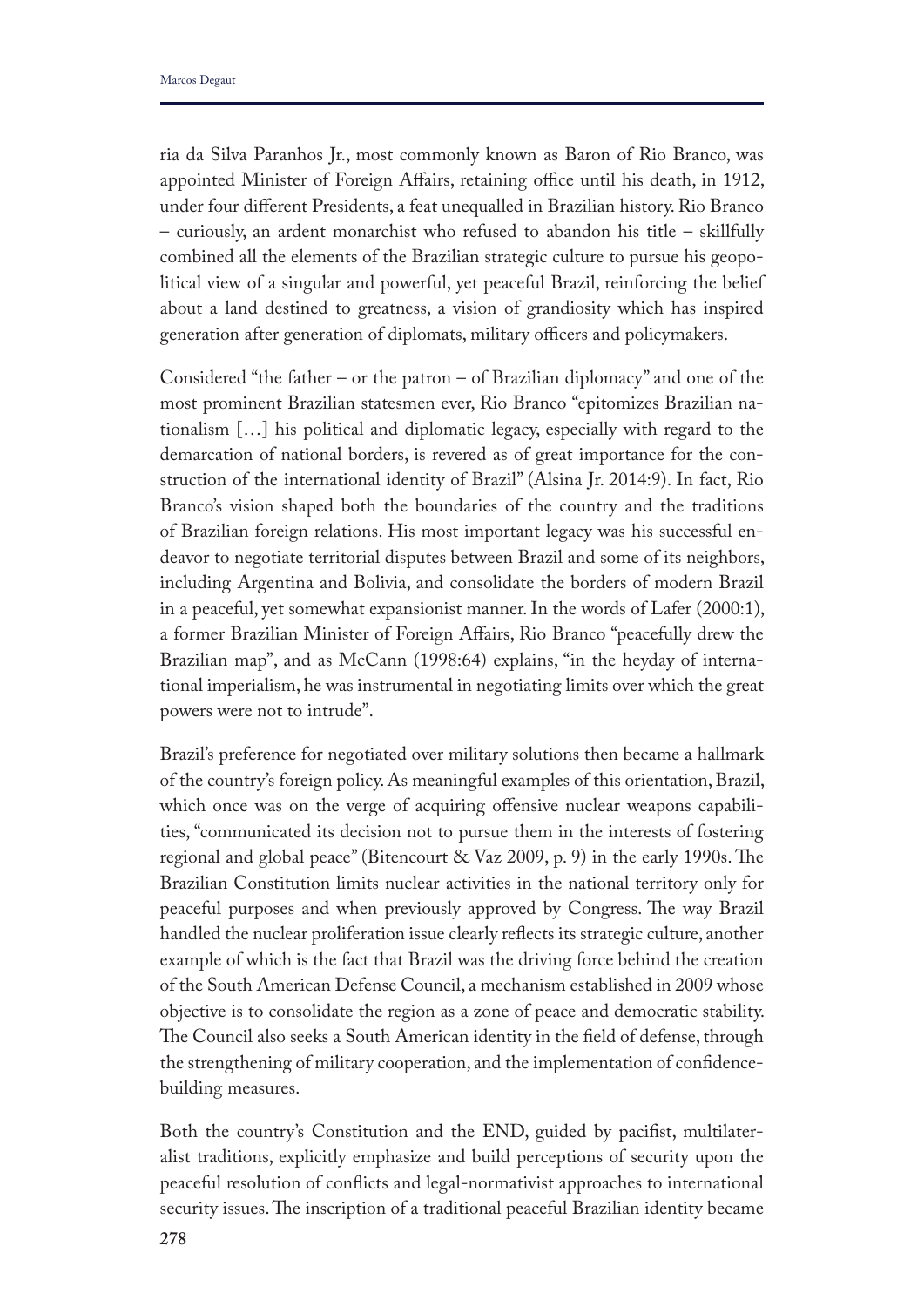ria da Silva Paranhos Jr., most commonly known as Baron of Rio Branco, was appointed Minister of Foreign Affairs, retaining office until his death, in 1912, under four diferent Presidents, a feat unequalled in Brazilian history. Rio Branco – curiously, an ardent monarchist who refused to abandon his title – skillfully combined all the elements of the Brazilian strategic culture to pursue his geopolitical view of a singular and powerful, yet peaceful Brazil, reinforcing the belief about a land destined to greatness, a vision of grandiosity which has inspired generation after generation of diplomats, military officers and policymakers.

Considered "the father – or the patron – of Brazilian diplomacy" and one of the most prominent Brazilian statesmen ever, Rio Branco "epitomizes Brazilian nationalism […] his political and diplomatic legacy, especially with regard to the demarcation of national borders, is revered as of great importance for the construction of the international identity of Brazil" (Alsina Jr. 2014:9). In fact, Rio Branco's vision shaped both the boundaries of the country and the traditions of Brazilian foreign relations. His most important legacy was his successful endeavor to negotiate territorial disputes between Brazil and some of its neighbors, including Argentina and Bolivia, and consolidate the borders of modern Brazil in a peaceful, yet somewhat expansionist manner. In the words of Lafer (2000:1), a former Brazilian Minister of Foreign Afairs, Rio Branco "peacefully drew the Brazilian map", and as McCann (1998:64) explains, "in the heyday of international imperialism, he was instrumental in negotiating limits over which the great powers were not to intrude".

Brazil's preference for negotiated over military solutions then became a hallmark of the country's foreign policy. As meaningful examples of this orientation, Brazil, which once was on the verge of acquiring offensive nuclear weapons capabilities, "communicated its decision not to pursue them in the interests of fostering regional and global peace" (Bitencourt & Vaz 2009, p. 9) in the early 1990s. The Brazilian Constitution limits nuclear activities in the national territory only for peaceful purposes and when previously approved by Congress. The way Brazil handled the nuclear proliferation issue clearly refects its strategic culture, another example of which is the fact that Brazil was the driving force behind the creation of the South American Defense Council, a mechanism established in 2009 whose objective is to consolidate the region as a zone of peace and democratic stability. The Council also seeks a South American identity in the field of defense, through the strengthening of military cooperation, and the implementation of confdencebuilding measures.

Both the country's Constitution and the END, guided by pacifst, multilateralist traditions, explicitly emphasize and build perceptions of security upon the peaceful resolution of conficts and legal-normativist approaches to international security issues. The inscription of a traditional peaceful Brazilian identity became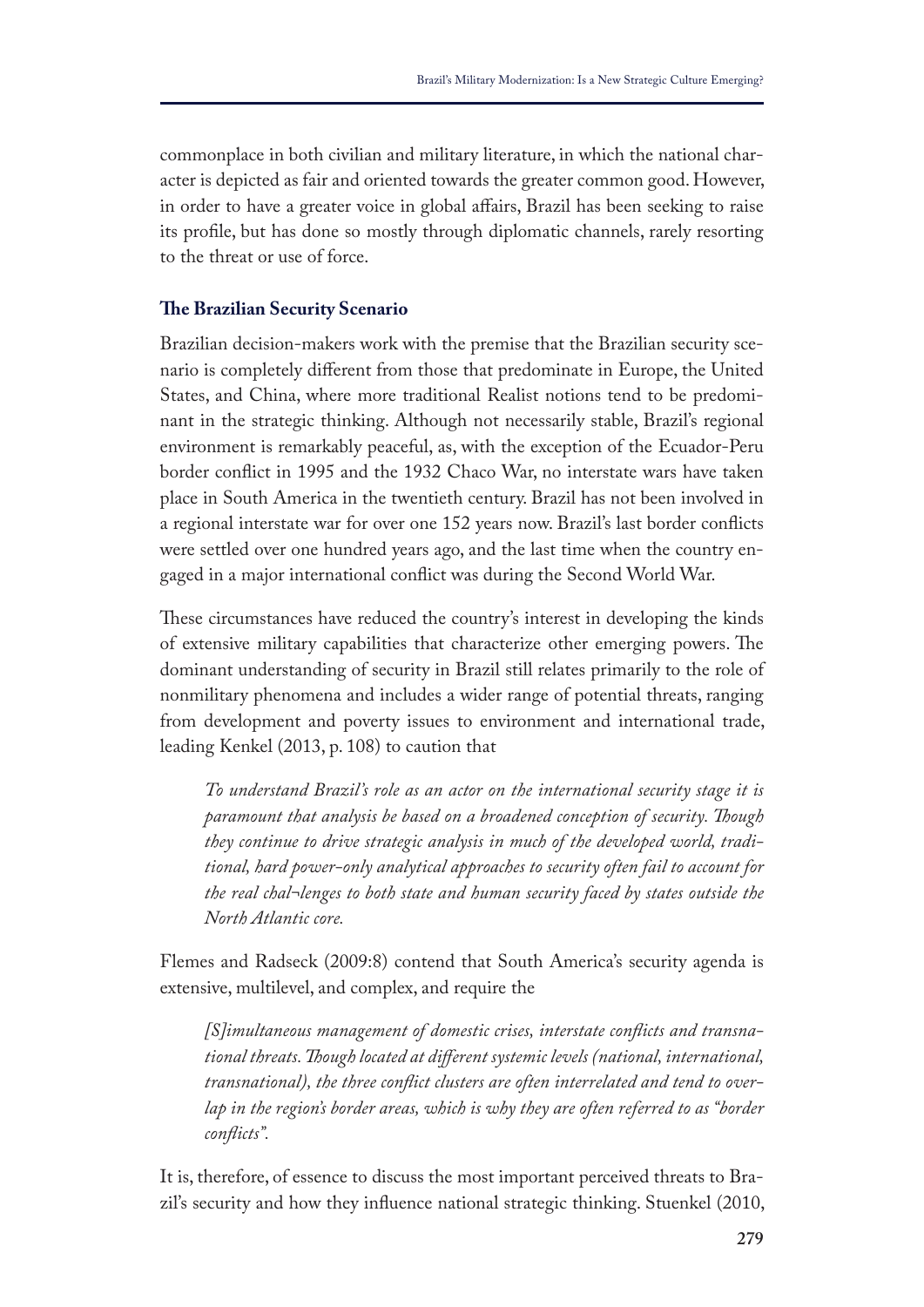commonplace in both civilian and military literature, in which the national character is depicted as fair and oriented towards the greater common good. However, in order to have a greater voice in global afairs, Brazil has been seeking to raise its profle, but has done so mostly through diplomatic channels, rarely resorting to the threat or use of force.

## **Te Brazilian Security Scenario**

Brazilian decision-makers work with the premise that the Brazilian security scenario is completely diferent from those that predominate in Europe, the United States, and China, where more traditional Realist notions tend to be predominant in the strategic thinking. Although not necessarily stable, Brazil's regional environment is remarkably peaceful, as, with the exception of the Ecuador-Peru border confict in 1995 and the 1932 Chaco War, no interstate wars have taken place in South America in the twentieth century. Brazil has not been involved in a regional interstate war for over one 152 years now. Brazil's last border conficts were settled over one hundred years ago, and the last time when the country engaged in a major international confict was during the Second World War.

These circumstances have reduced the country's interest in developing the kinds of extensive military capabilities that characterize other emerging powers. The dominant understanding of security in Brazil still relates primarily to the role of nonmilitary phenomena and includes a wider range of potential threats, ranging from development and poverty issues to environment and international trade, leading Kenkel (2013, p. 108) to caution that

*To understand Brazil's role as an actor on the international security stage it is paramount that analysis be based on a broadened conception of security. Tough they continue to drive strategic analysis in much of the developed world, traditional, hard power-only analytical approaches to security often fail to account for the real chal¬lenges to both state and human security faced by states outside the North Atlantic core.*

Flemes and Radseck (2009:8) contend that South America's security agenda is extensive, multilevel, and complex, and require the

*[S]imultaneous management of domestic crises, interstate conficts and transnational threats. Tough located at diferent systemic levels (national, international, transnational), the three confict clusters are often interrelated and tend to overlap in the region's border areas, which is why they are often referred to as "border conficts".* 

It is, therefore, of essence to discuss the most important perceived threats to Brazil's security and how they infuence national strategic thinking. Stuenkel (2010,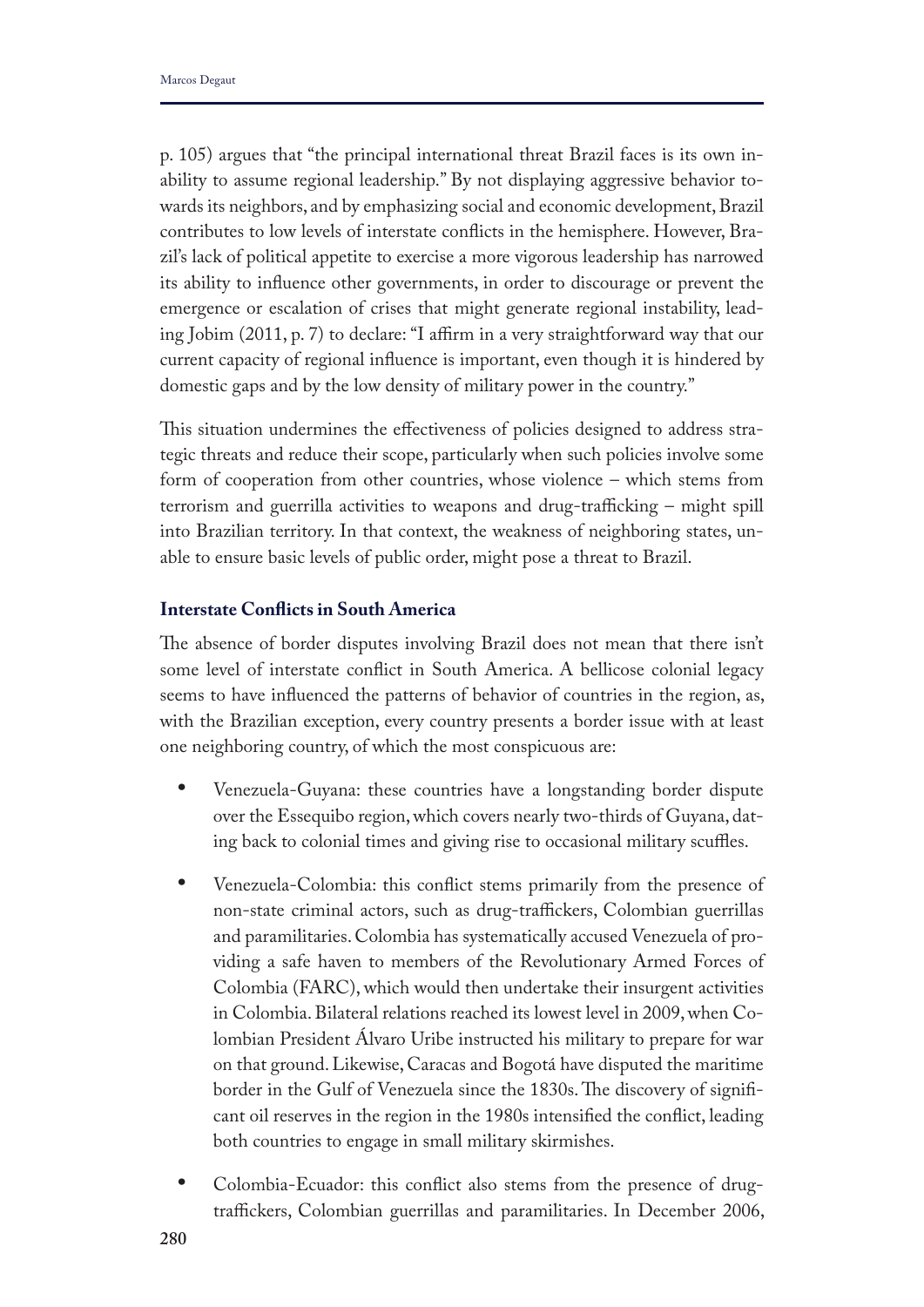p. 105) argues that "the principal international threat Brazil faces is its own inability to assume regional leadership." By not displaying aggressive behavior towards its neighbors, and by emphasizing social and economic development, Brazil contributes to low levels of interstate conficts in the hemisphere. However, Brazil's lack of political appetite to exercise a more vigorous leadership has narrowed its ability to infuence other governments, in order to discourage or prevent the emergence or escalation of crises that might generate regional instability, leading Jobim (2011, p. 7) to declare: "I affirm in a very straightforward way that our current capacity of regional infuence is important, even though it is hindered by domestic gaps and by the low density of military power in the country."

Tis situation undermines the efectiveness of policies designed to address strategic threats and reduce their scope, particularly when such policies involve some form of cooperation from other countries, whose violence – which stems from terrorism and guerrilla activities to weapons and drug-trafficking  $-$  might spill into Brazilian territory. In that context, the weakness of neighboring states, unable to ensure basic levels of public order, might pose a threat to Brazil.

## **Interstate Conficts in South America**

The absence of border disputes involving Brazil does not mean that there isn't some level of interstate confict in South America. A bellicose colonial legacy seems to have infuenced the patterns of behavior of countries in the region, as, with the Brazilian exception, every country presents a border issue with at least one neighboring country, of which the most conspicuous are:

- **•** Venezuela-Guyana: these countries have a longstanding border dispute over the Essequibo region, which covers nearly two-thirds of Guyana, dating back to colonial times and giving rise to occasional military scuffles.
- **•** Venezuela-Colombia: this confict stems primarily from the presence of non-state criminal actors, such as drug-traffickers, Colombian guerrillas and paramilitaries. Colombia has systematically accused Venezuela of providing a safe haven to members of the Revolutionary Armed Forces of Colombia (FARC), which would then undertake their insurgent activities in Colombia. Bilateral relations reached its lowest level in 2009, when Colombian President Álvaro Uribe instructed his military to prepare for war on that ground. Likewise, Caracas and Bogotá have disputed the maritime border in the Gulf of Venezuela since the 1830s. The discovery of significant oil reserves in the region in the 1980s intensifed the confict, leading both countries to engage in small military skirmishes.
- **•** Colombia-Ecuador: this confict also stems from the presence of drugtraffickers, Colombian guerrillas and paramilitaries. In December 2006,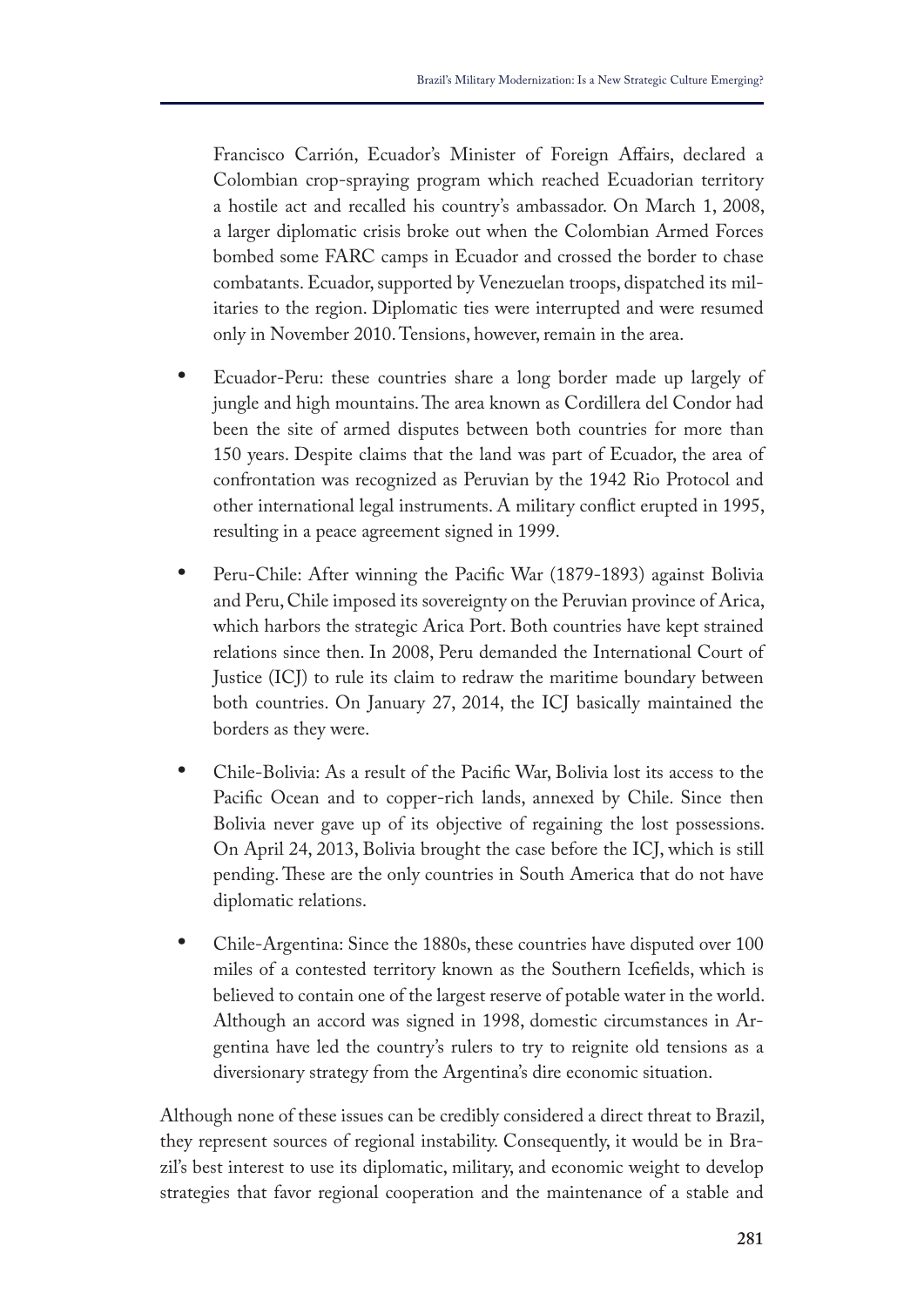Francisco Carrión, Ecuador's Minister of Foreign Afairs, declared a Colombian crop-spraying program which reached Ecuadorian territory a hostile act and recalled his country's ambassador. On March 1, 2008, a larger diplomatic crisis broke out when the Colombian Armed Forces bombed some FARC camps in Ecuador and crossed the border to chase combatants. Ecuador, supported by Venezuelan troops, dispatched its militaries to the region. Diplomatic ties were interrupted and were resumed only in November 2010. Tensions, however, remain in the area.

- **•** Ecuador-Peru: these countries share a long border made up largely of jungle and high mountains. The area known as Cordillera del Condor had been the site of armed disputes between both countries for more than 150 years. Despite claims that the land was part of Ecuador, the area of confrontation was recognized as Peruvian by the 1942 Rio Protocol and other international legal instruments. A military confict erupted in 1995, resulting in a peace agreement signed in 1999.
- **•** Peru-Chile: After winning the Pacifc War (1879-1893) against Bolivia and Peru, Chile imposed its sovereignty on the Peruvian province of Arica, which harbors the strategic Arica Port. Both countries have kept strained relations since then. In 2008, Peru demanded the International Court of Justice (ICJ) to rule its claim to redraw the maritime boundary between both countries. On January 27, 2014, the ICJ basically maintained the borders as they were.
- **•** Chile-Bolivia: As a result of the Pacifc War, Bolivia lost its access to the Pacifc Ocean and to copper-rich lands, annexed by Chile. Since then Bolivia never gave up of its objective of regaining the lost possessions. On April 24, 2013, Bolivia brought the case before the ICJ, which is still pending. These are the only countries in South America that do not have diplomatic relations.
- **•** Chile-Argentina: Since the 1880s, these countries have disputed over 100 miles of a contested territory known as the Southern Icefelds, which is believed to contain one of the largest reserve of potable water in the world. Although an accord was signed in 1998, domestic circumstances in Argentina have led the country's rulers to try to reignite old tensions as a diversionary strategy from the Argentina's dire economic situation.

Although none of these issues can be credibly considered a direct threat to Brazil, they represent sources of regional instability. Consequently, it would be in Brazil's best interest to use its diplomatic, military, and economic weight to develop strategies that favor regional cooperation and the maintenance of a stable and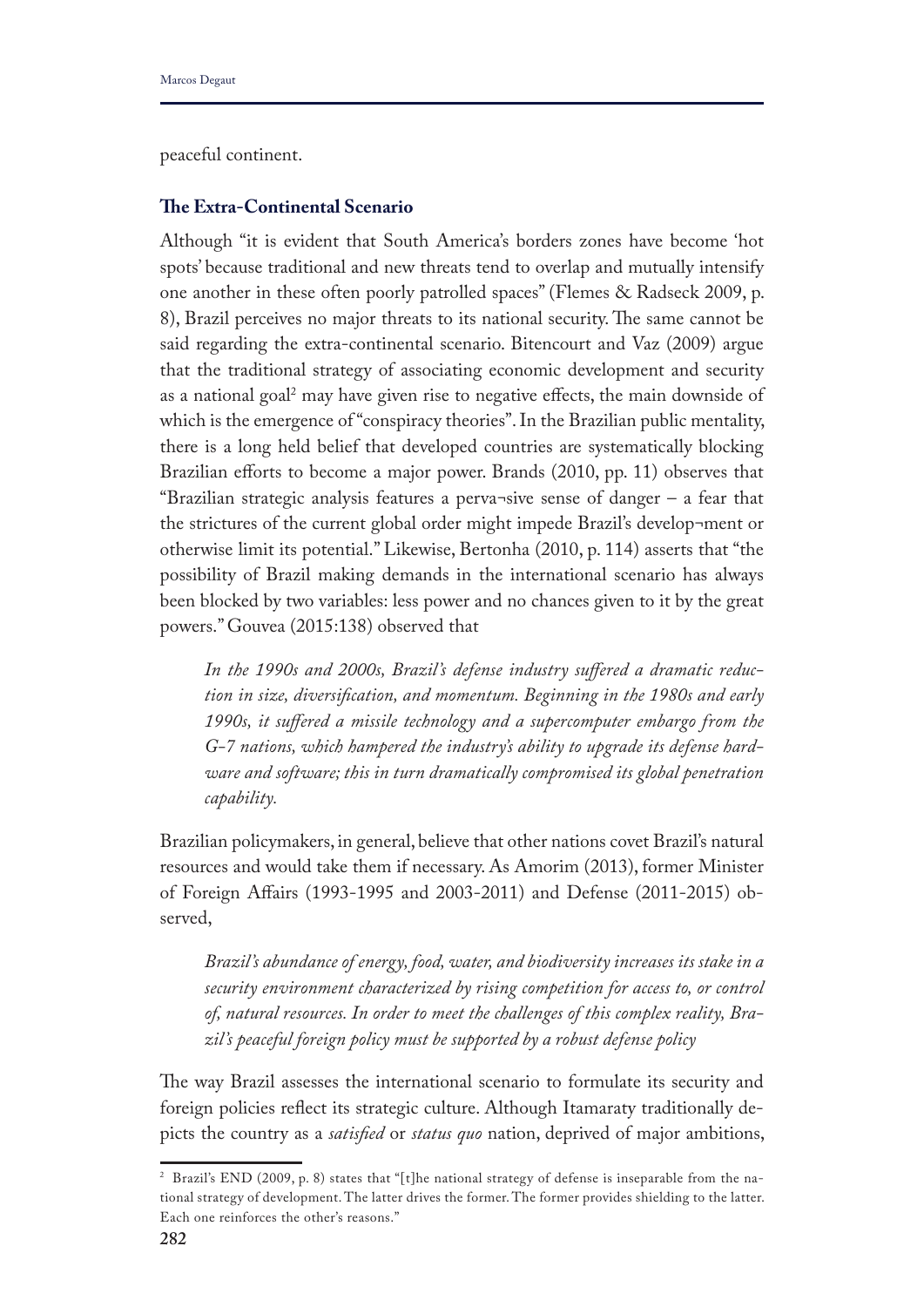peaceful continent.

## **Te Extra-Continental Scenario**

Although "it is evident that South America's borders zones have become 'hot spots' because traditional and new threats tend to overlap and mutually intensify one another in these often poorly patrolled spaces" (Flemes & Radseck 2009, p. 8), Brazil perceives no major threats to its national security. The same cannot be said regarding the extra-continental scenario. Bitencourt and Vaz (2009) argue that the traditional strategy of associating economic development and security as a national goal<sup>2</sup> may have given rise to negative effects, the main downside of which is the emergence of "conspiracy theories". In the Brazilian public mentality, there is a long held belief that developed countries are systematically blocking Brazilian efforts to become a major power. Brands (2010, pp. 11) observes that "Brazilian strategic analysis features a perva¬sive sense of danger – a fear that the strictures of the current global order might impede Brazil's develop¬ment or otherwise limit its potential." Likewise, Bertonha (2010, p. 114) asserts that "the possibility of Brazil making demands in the international scenario has always been blocked by two variables: less power and no chances given to it by the great powers." Gouvea (2015:138) observed that

*In the 1990s and 2000s, Brazil's defense industry sufered a dramatic reduction in size, diversifcation, and momentum. Beginning in the 1980s and early 1990s, it sufered a missile technology and a supercomputer embargo from the G-7 nations, which hampered the industry's ability to upgrade its defense hardware and software; this in turn dramatically compromised its global penetration capability.*

Brazilian policymakers, in general, believe that other nations covet Brazil's natural resources and would take them if necessary. As Amorim (2013), former Minister of Foreign Afairs (1993-1995 and 2003-2011) and Defense (2011-2015) observed,

*Brazil's abundance of energy, food, water, and biodiversity increases its stake in a security environment characterized by rising competition for access to, or control of, natural resources. In order to meet the challenges of this complex reality, Brazil's peaceful foreign policy must be supported by a robust defense policy*

The way Brazil assesses the international scenario to formulate its security and foreign policies refect its strategic culture. Although Itamaraty traditionally depicts the country as a *satisfed* or *status quo* nation, deprived of major ambitions,

<sup>2</sup> Brazil's END (2009, p. 8) states that "[t]he national strategy of defense is inseparable from the national strategy of development. The latter drives the former. The former provides shielding to the latter. Each one reinforces the other's reasons."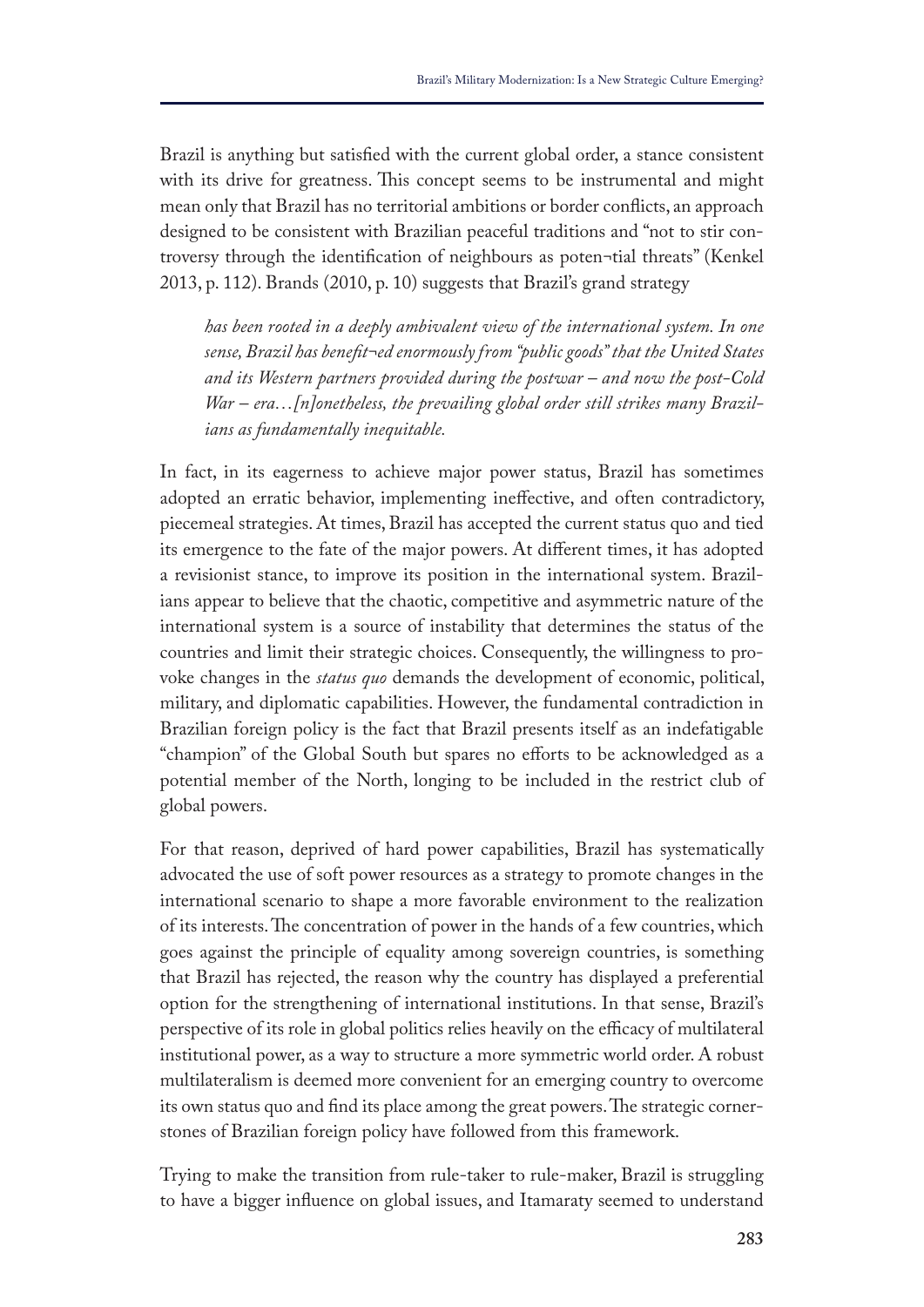Brazil is anything but satisfed with the current global order, a stance consistent with its drive for greatness. This concept seems to be instrumental and might mean only that Brazil has no territorial ambitions or border conficts, an approach designed to be consistent with Brazilian peaceful traditions and "not to stir controversy through the identifcation of neighbours as poten¬tial threats" (Kenkel 2013, p. 112). Brands (2010, p. 10) suggests that Brazil's grand strategy

*has been rooted in a deeply ambivalent view of the international system. In one sense, Brazil has beneft¬ed enormously from "public goods" that the United States and its Western partners provided during the postwar – and now the post-Cold War – era…[n]onetheless, the prevailing global order still strikes many Brazilians as fundamentally inequitable.*

In fact, in its eagerness to achieve major power status, Brazil has sometimes adopted an erratic behavior, implementing inefective, and often contradictory, piecemeal strategies. At times, Brazil has accepted the current status quo and tied its emergence to the fate of the major powers. At diferent times, it has adopted a revisionist stance, to improve its position in the international system. Brazilians appear to believe that the chaotic, competitive and asymmetric nature of the international system is a source of instability that determines the status of the countries and limit their strategic choices. Consequently, the willingness to provoke changes in the *status quo* demands the development of economic, political, military, and diplomatic capabilities. However, the fundamental contradiction in Brazilian foreign policy is the fact that Brazil presents itself as an indefatigable "champion" of the Global South but spares no efforts to be acknowledged as a potential member of the North, longing to be included in the restrict club of global powers.

For that reason, deprived of hard power capabilities, Brazil has systematically advocated the use of soft power resources as a strategy to promote changes in the international scenario to shape a more favorable environment to the realization of its interests. The concentration of power in the hands of a few countries, which goes against the principle of equality among sovereign countries, is something that Brazil has rejected, the reason why the country has displayed a preferential option for the strengthening of international institutions. In that sense, Brazil's perspective of its role in global politics relies heavily on the efficacy of multilateral institutional power, as a way to structure a more symmetric world order. A robust multilateralism is deemed more convenient for an emerging country to overcome its own status quo and find its place among the great powers. The strategic cornerstones of Brazilian foreign policy have followed from this framework.

Trying to make the transition from rule-taker to rule-maker, Brazil is struggling to have a bigger infuence on global issues, and Itamaraty seemed to understand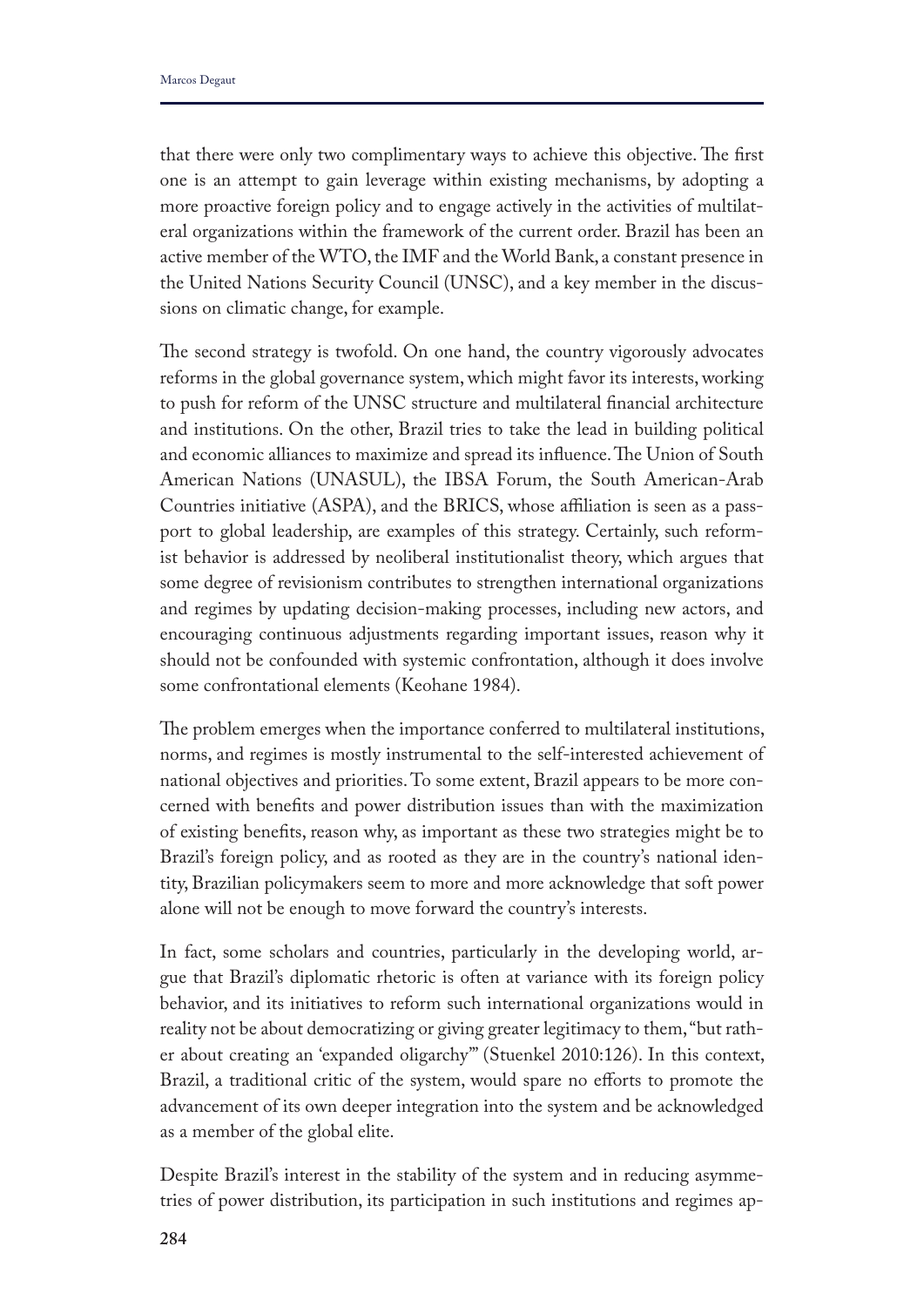that there were only two complimentary ways to achieve this objective. The first one is an attempt to gain leverage within existing mechanisms, by adopting a more proactive foreign policy and to engage actively in the activities of multilateral organizations within the framework of the current order. Brazil has been an active member of the WTO, the IMF and the World Bank, a constant presence in the United Nations Security Council (UNSC), and a key member in the discussions on climatic change, for example.

The second strategy is twofold. On one hand, the country vigorously advocates reforms in the global governance system, which might favor its interests, working to push for reform of the UNSC structure and multilateral fnancial architecture and institutions. On the other, Brazil tries to take the lead in building political and economic alliances to maximize and spread its influence. The Union of South American Nations (UNASUL), the IBSA Forum, the South American-Arab Countries initiative (ASPA), and the BRICS, whose afliation is seen as a passport to global leadership, are examples of this strategy. Certainly, such reformist behavior is addressed by neoliberal institutionalist theory, which argues that some degree of revisionism contributes to strengthen international organizations and regimes by updating decision-making processes, including new actors, and encouraging continuous adjustments regarding important issues, reason why it should not be confounded with systemic confrontation, although it does involve some confrontational elements (Keohane 1984).

The problem emerges when the importance conferred to multilateral institutions, norms, and regimes is mostly instrumental to the self-interested achievement of national objectives and priorities. To some extent, Brazil appears to be more concerned with benefts and power distribution issues than with the maximization of existing benefts, reason why, as important as these two strategies might be to Brazil's foreign policy, and as rooted as they are in the country's national identity, Brazilian policymakers seem to more and more acknowledge that soft power alone will not be enough to move forward the country's interests.

In fact, some scholars and countries, particularly in the developing world, argue that Brazil's diplomatic rhetoric is often at variance with its foreign policy behavior, and its initiatives to reform such international organizations would in reality not be about democratizing or giving greater legitimacy to them, "but rather about creating an 'expanded oligarchy'" (Stuenkel 2010:126). In this context, Brazil, a traditional critic of the system, would spare no efforts to promote the advancement of its own deeper integration into the system and be acknowledged as a member of the global elite.

Despite Brazil's interest in the stability of the system and in reducing asymmetries of power distribution, its participation in such institutions and regimes ap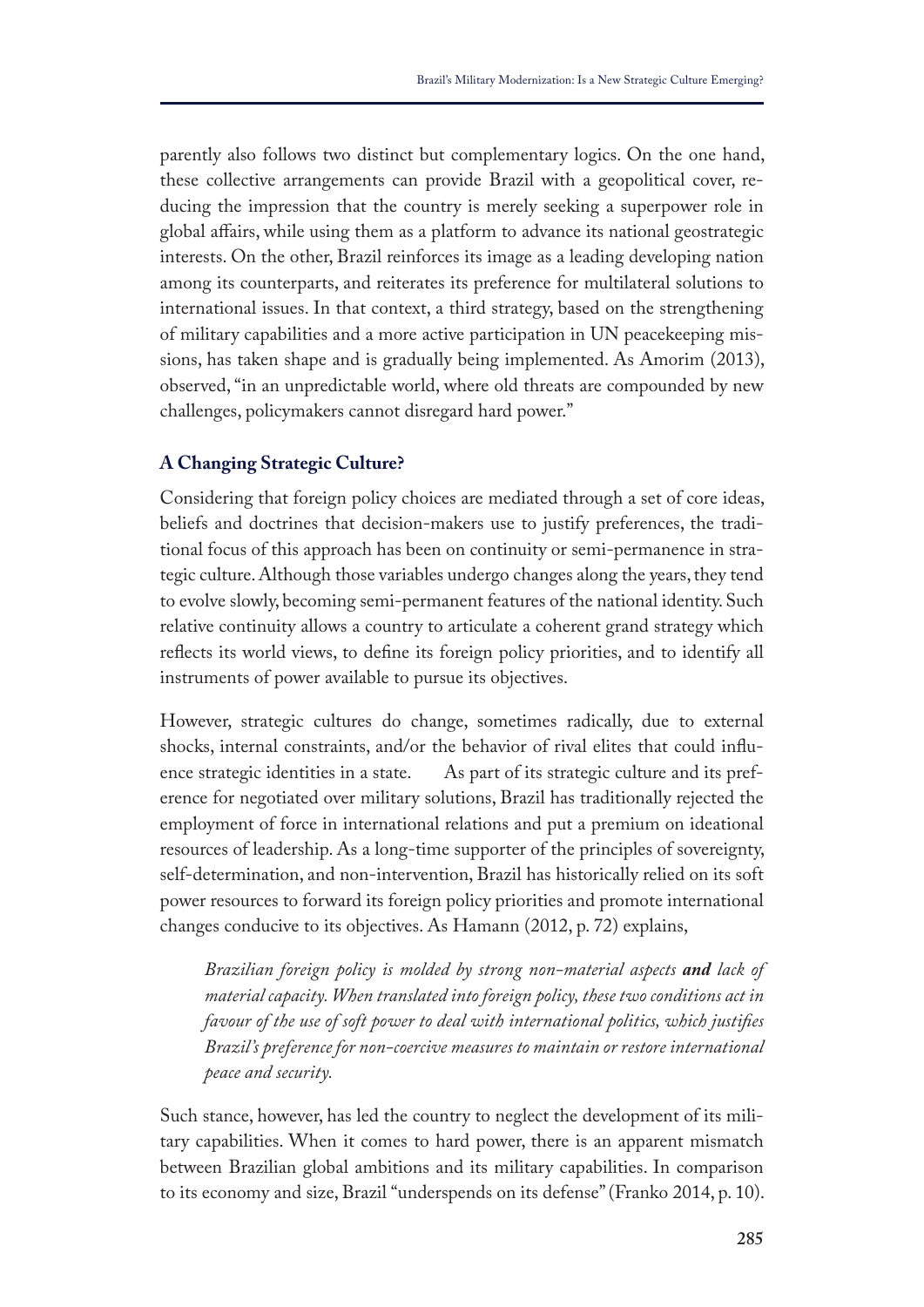parently also follows two distinct but complementary logics. On the one hand, these collective arrangements can provide Brazil with a geopolitical cover, reducing the impression that the country is merely seeking a superpower role in global afairs, while using them as a platform to advance its national geostrategic interests. On the other, Brazil reinforces its image as a leading developing nation among its counterparts, and reiterates its preference for multilateral solutions to international issues. In that context, a third strategy, based on the strengthening of military capabilities and a more active participation in UN peacekeeping missions, has taken shape and is gradually being implemented. As Amorim (2013), observed, "in an unpredictable world, where old threats are compounded by new challenges, policymakers cannot disregard hard power."

# **A Changing Strategic Culture?**

Considering that foreign policy choices are mediated through a set of core ideas, beliefs and doctrines that decision-makers use to justify preferences, the traditional focus of this approach has been on continuity or semi-permanence in strategic culture. Although those variables undergo changes along the years, they tend to evolve slowly, becoming semi-permanent features of the national identity. Such relative continuity allows a country to articulate a coherent grand strategy which refects its world views, to defne its foreign policy priorities, and to identify all instruments of power available to pursue its objectives.

However, strategic cultures do change, sometimes radically, due to external shocks, internal constraints, and/or the behavior of rival elites that could infuence strategic identities in a state. As part of its strategic culture and its preference for negotiated over military solutions, Brazil has traditionally rejected the employment of force in international relations and put a premium on ideational resources of leadership. As a long-time supporter of the principles of sovereignty, self-determination, and non-intervention, Brazil has historically relied on its soft power resources to forward its foreign policy priorities and promote international changes conducive to its objectives. As Hamann (2012, p. 72) explains,

*Brazilian foreign policy is molded by strong non-material aspects and lack of material capacity. When translated into foreign policy, these two conditions act in favour of the use of soft power to deal with international politics, which justifes Brazil's preference for non-coercive measures to maintain or restore international peace and security.*

Such stance, however, has led the country to neglect the development of its military capabilities. When it comes to hard power, there is an apparent mismatch between Brazilian global ambitions and its military capabilities. In comparison to its economy and size, Brazil "underspends on its defense" (Franko 2014, p. 10).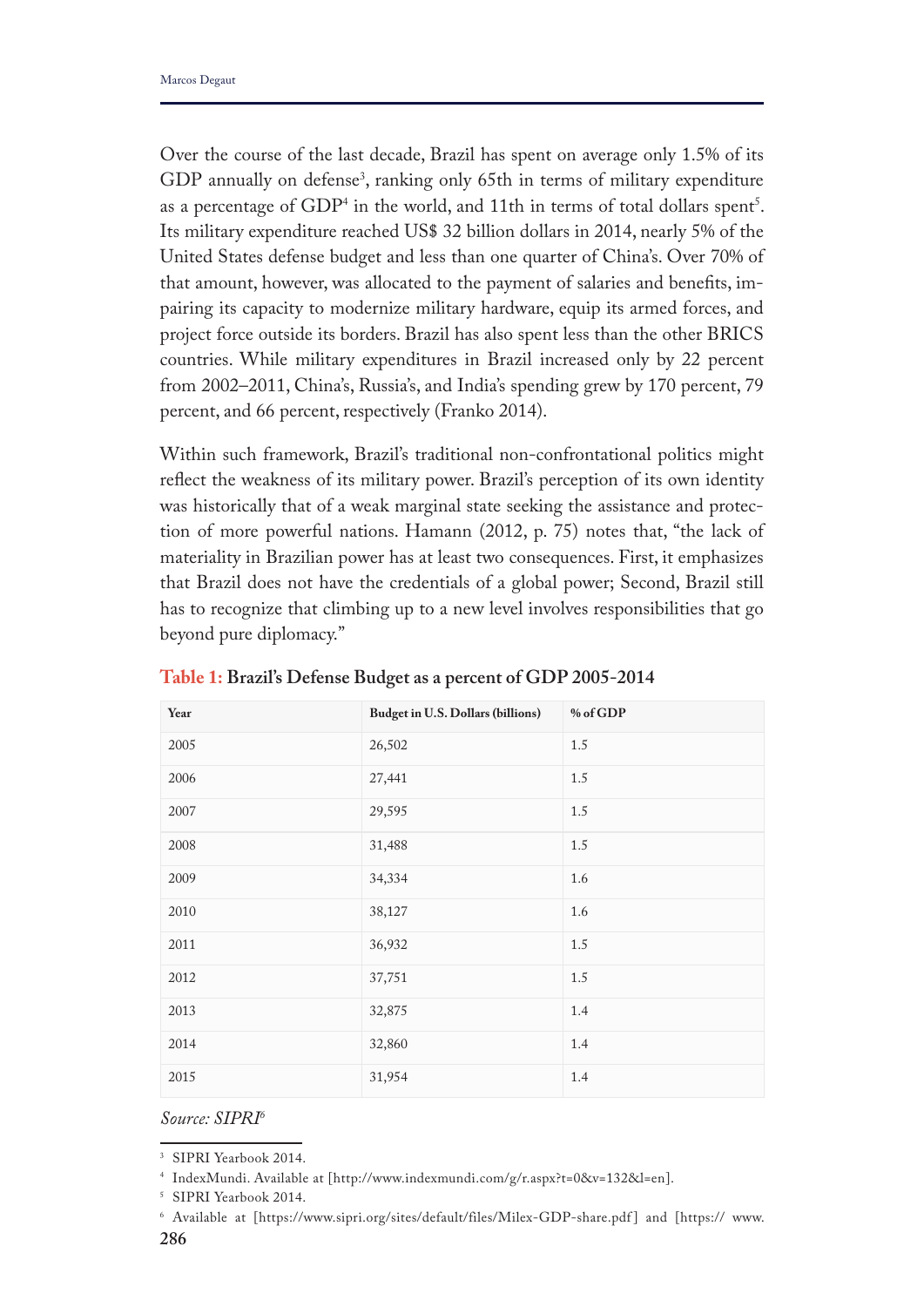Over the course of the last decade, Brazil has spent on average only 1.5% of its GDP annually on defense<sup>3</sup>, ranking only 65th in terms of military expenditure as a percentage of  $GDP<sup>4</sup>$  in the world, and 11th in terms of total dollars spent<sup>5</sup>. Its military expenditure reached US\$ 32 billion dollars in 2014, nearly 5% of the United States defense budget and less than one quarter of China's. Over 70% of that amount, however, was allocated to the payment of salaries and benefts, impairing its capacity to modernize military hardware, equip its armed forces, and project force outside its borders. Brazil has also spent less than the other BRICS countries. While military expenditures in Brazil increased only by 22 percent from 2002–2011, China's, Russia's, and India's spending grew by 170 percent, 79 percent, and 66 percent, respectively (Franko 2014).

Within such framework, Brazil's traditional non-confrontational politics might refect the weakness of its military power. Brazil's perception of its own identity was historically that of a weak marginal state seeking the assistance and protection of more powerful nations. Hamann (2012, p. 75) notes that, "the lack of materiality in Brazilian power has at least two consequences. First, it emphasizes that Brazil does not have the credentials of a global power; Second, Brazil still has to recognize that climbing up to a new level involves responsibilities that go beyond pure diplomacy."

| Year | <b>Budget in U.S. Dollars (billions)</b> | % of GDP |
|------|------------------------------------------|----------|
| 2005 | 26,502                                   | $1.5\,$  |
| 2006 | 27,441                                   | $1.5\,$  |
| 2007 | 29,595                                   | $1.5\,$  |
| 2008 | 31,488                                   | $1.5\,$  |
| 2009 | 34,334                                   | 1.6      |
| 2010 | 38,127                                   | 1.6      |
| 2011 | 36,932                                   | $1.5\,$  |
| 2012 | 37,751                                   | $1.5\,$  |
| 2013 | 32,875                                   | 1.4      |
| 2014 | 32,860                                   | 1.4      |
| 2015 | 31,954                                   | 1.4      |

**Table 1: Brazil's Defense Budget as a percent of GDP 2005-2014**

*Source: SIPRI6*

<sup>3</sup> SIPRI Yearbook 2014.

<sup>4</sup> IndexMundi. Available at [http://www.indexmundi.com/g/r.aspx?t=0&v=132&l=en].

<sup>5</sup> SIPRI Yearbook 2014.

**<sup>286</sup>** <sup>6</sup> Available at [https://www.sipri.org/sites/default/files/Milex-GDP-share.pdf ] and [https:// www.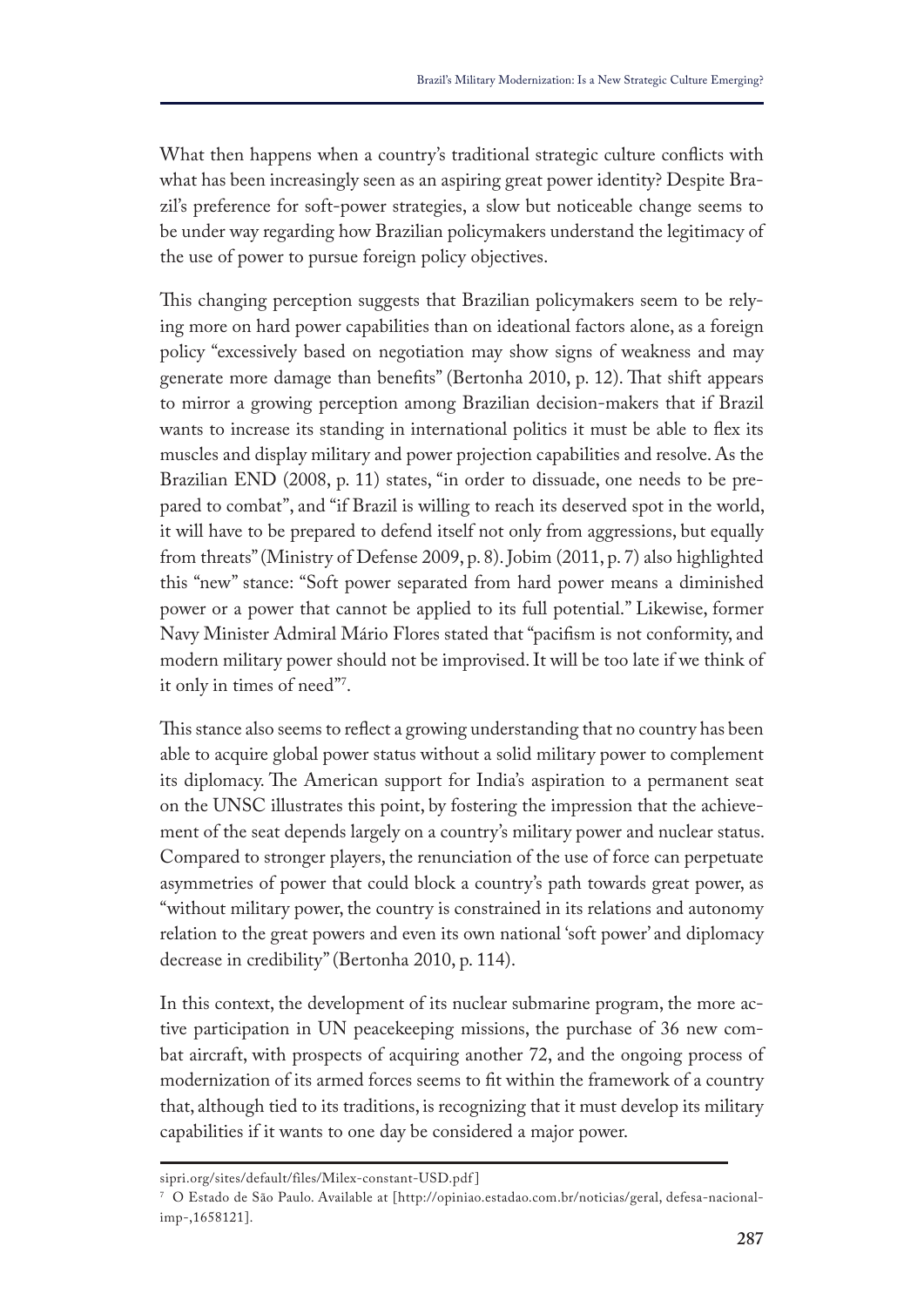What then happens when a country's traditional strategic culture conficts with what has been increasingly seen as an aspiring great power identity? Despite Brazil's preference for soft-power strategies, a slow but noticeable change seems to be under way regarding how Brazilian policymakers understand the legitimacy of the use of power to pursue foreign policy objectives.

This changing perception suggests that Brazilian policymakers seem to be relying more on hard power capabilities than on ideational factors alone, as a foreign policy "excessively based on negotiation may show signs of weakness and may generate more damage than benefts" (Bertonha 2010, p. 12). Tat shift appears to mirror a growing perception among Brazilian decision-makers that if Brazil wants to increase its standing in international politics it must be able to fex its muscles and display military and power projection capabilities and resolve. As the Brazilian END (2008, p. 11) states, "in order to dissuade, one needs to be prepared to combat", and "if Brazil is willing to reach its deserved spot in the world, it will have to be prepared to defend itself not only from aggressions, but equally from threats" (Ministry of Defense 2009, p. 8). Jobim (2011, p. 7) also highlighted this "new" stance: "Soft power separated from hard power means a diminished power or a power that cannot be applied to its full potential." Likewise, former Navy Minister Admiral Mário Flores stated that "pacifsm is not conformity, and modern military power should not be improvised. It will be too late if we think of it only in times of need"'.

This stance also seems to reflect a growing understanding that no country has been able to acquire global power status without a solid military power to complement its diplomacy. The American support for India's aspiration to a permanent seat on the UNSC illustrates this point, by fostering the impression that the achievement of the seat depends largely on a country's military power and nuclear status. Compared to stronger players, the renunciation of the use of force can perpetuate asymmetries of power that could block a country's path towards great power, as "without military power, the country is constrained in its relations and autonomy relation to the great powers and even its own national 'soft power' and diplomacy decrease in credibility" (Bertonha 2010, p. 114).

In this context, the development of its nuclear submarine program, the more active participation in UN peacekeeping missions, the purchase of 36 new combat aircraft, with prospects of acquiring another 72, and the ongoing process of modernization of its armed forces seems to ft within the framework of a country that, although tied to its traditions, is recognizing that it must develop its military capabilities if it wants to one day be considered a major power.

sipri.org/sites/default/files/Milex-constant-USD.pdf ]

<sup>7</sup> O Estado de São Paulo. Available at [http://opiniao.estadao.com.br/noticias/geral, defesa-nacionalimp-,1658121].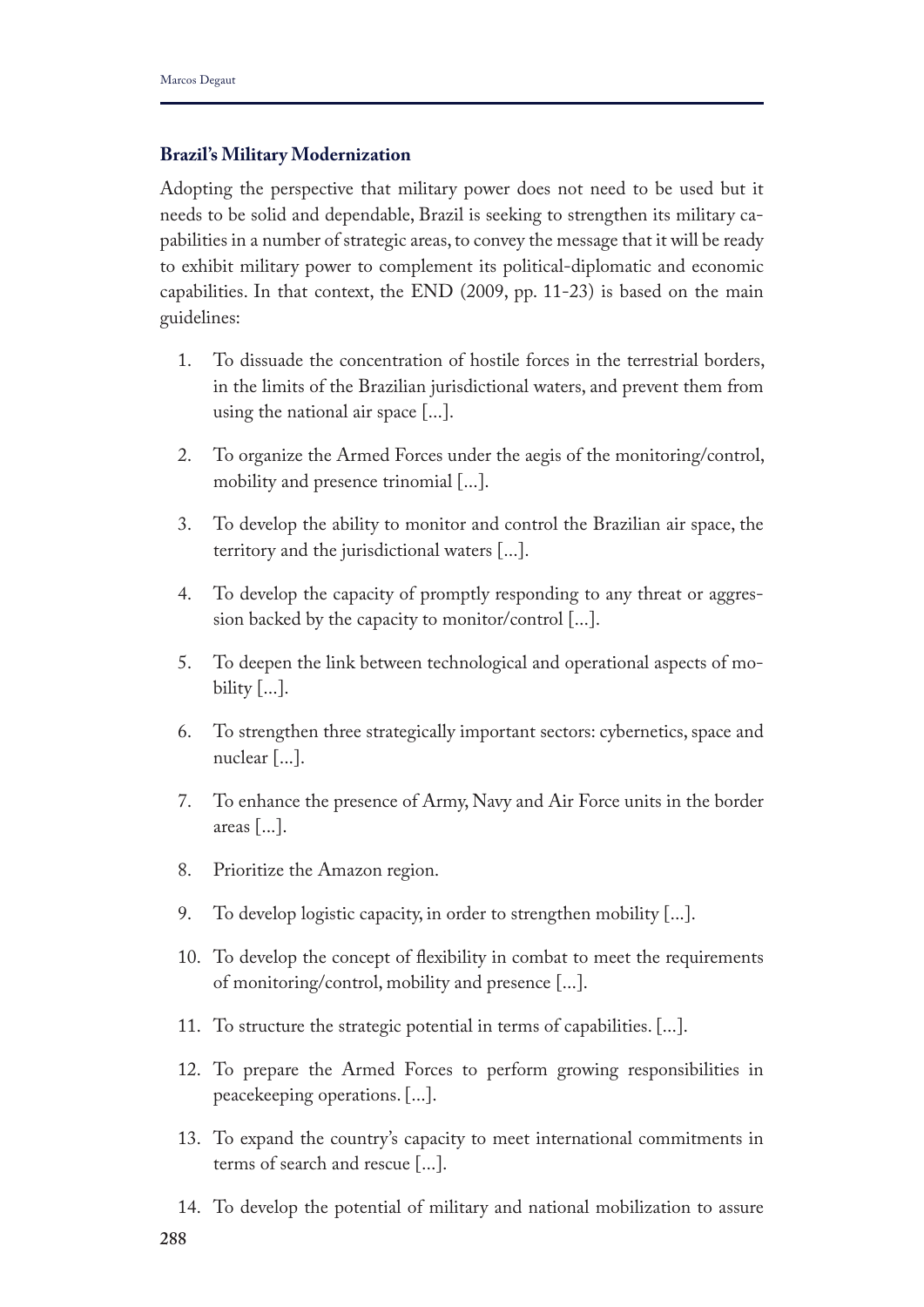## **Brazil's Military Modernization**

Adopting the perspective that military power does not need to be used but it needs to be solid and dependable, Brazil is seeking to strengthen its military capabilities in a number of strategic areas, to convey the message that it will be ready to exhibit military power to complement its political-diplomatic and economic capabilities. In that context, the END (2009, pp. 11-23) is based on the main guidelines:

- 1. To dissuade the concentration of hostile forces in the terrestrial borders, in the limits of the Brazilian jurisdictional waters, and prevent them from using the national air space [...].
- 2. To organize the Armed Forces under the aegis of the monitoring/control, mobility and presence trinomial [...].
- 3. To develop the ability to monitor and control the Brazilian air space, the territory and the jurisdictional waters [...].
- 4. To develop the capacity of promptly responding to any threat or aggression backed by the capacity to monitor/control [...].
- 5. To deepen the link between technological and operational aspects of mobility  $[...]$ .
- 6. To strengthen three strategically important sectors: cybernetics, space and nuclear [...].
- 7. To enhance the presence of Army, Navy and Air Force units in the border areas [...].
- 8. Prioritize the Amazon region.
- 9. To develop logistic capacity, in order to strengthen mobility [...].
- 10. To develop the concept of fexibility in combat to meet the requirements of monitoring/control, mobility and presence [...].
- 11. To structure the strategic potential in terms of capabilities. [...].
- 12. To prepare the Armed Forces to perform growing responsibilities in peacekeeping operations. [...].
- 13. To expand the country's capacity to meet international commitments in terms of search and rescue [...].
- **288** 14. To develop the potential of military and national mobilization to assure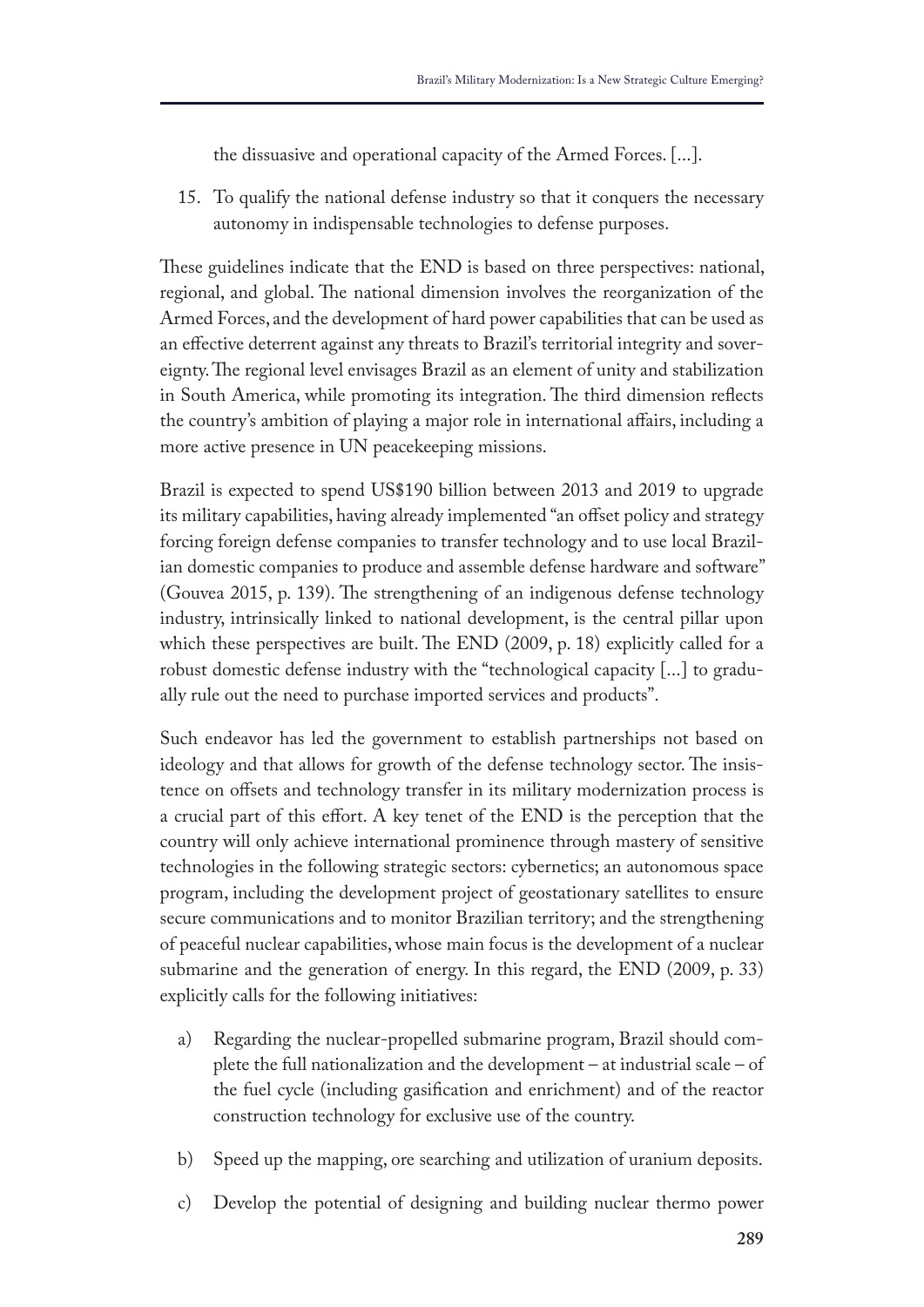the dissuasive and operational capacity of the Armed Forces. [...].

15. To qualify the national defense industry so that it conquers the necessary autonomy in indispensable technologies to defense purposes.

These guidelines indicate that the END is based on three perspectives: national, regional, and global. The national dimension involves the reorganization of the Armed Forces, and the development of hard power capabilities that can be used as an efective deterrent against any threats to Brazil's territorial integrity and sovereignty. The regional level envisages Brazil as an element of unity and stabilization in South America, while promoting its integration. The third dimension reflects the country's ambition of playing a major role in international afairs, including a more active presence in UN peacekeeping missions.

Brazil is expected to spend US\$190 billion between 2013 and 2019 to upgrade its military capabilities, having already implemented "an offset policy and strategy forcing foreign defense companies to transfer technology and to use local Brazilian domestic companies to produce and assemble defense hardware and software" (Gouvea 2015, p. 139). The strengthening of an indigenous defense technology industry, intrinsically linked to national development, is the central pillar upon which these perspectives are built. The END  $(2009, p. 18)$  explicitly called for a robust domestic defense industry with the "technological capacity [...] to gradually rule out the need to purchase imported services and products".

Such endeavor has led the government to establish partnerships not based on ideology and that allows for growth of the defense technology sector. The insistence on ofsets and technology transfer in its military modernization process is a crucial part of this efort. A key tenet of the END is the perception that the country will only achieve international prominence through mastery of sensitive technologies in the following strategic sectors: cybernetics; an autonomous space program, including the development project of geostationary satellites to ensure secure communications and to monitor Brazilian territory; and the strengthening of peaceful nuclear capabilities, whose main focus is the development of a nuclear submarine and the generation of energy. In this regard, the END (2009, p. 33) explicitly calls for the following initiatives:

- a) Regarding the nuclear-propelled submarine program, Brazil should complete the full nationalization and the development – at industrial scale – of the fuel cycle (including gasifcation and enrichment) and of the reactor construction technology for exclusive use of the country.
- b) Speed up the mapping, ore searching and utilization of uranium deposits.
- c) Develop the potential of designing and building nuclear thermo power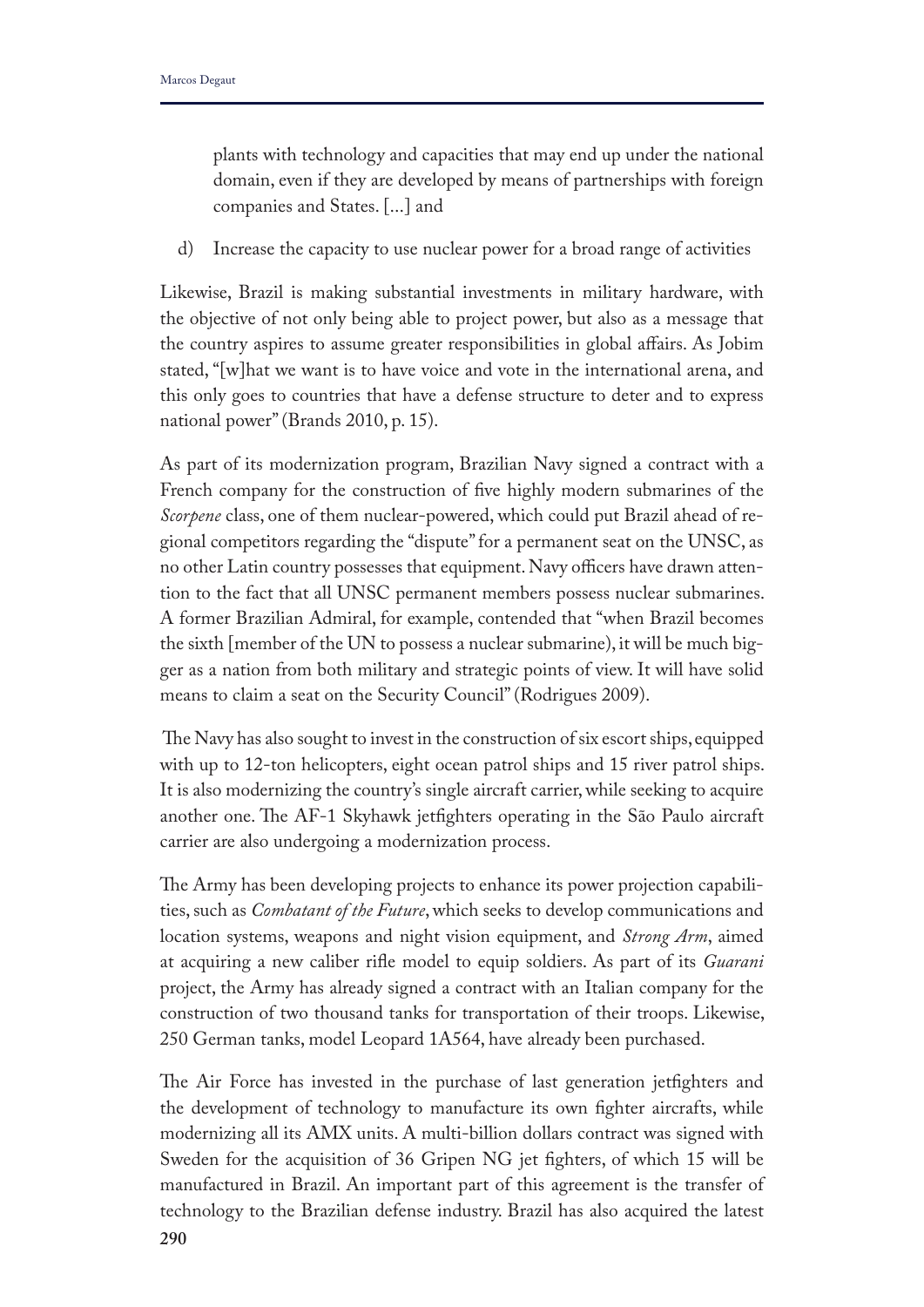plants with technology and capacities that may end up under the national domain, even if they are developed by means of partnerships with foreign companies and States. [...] and

d) Increase the capacity to use nuclear power for a broad range of activities

Likewise, Brazil is making substantial investments in military hardware, with the objective of not only being able to project power, but also as a message that the country aspires to assume greater responsibilities in global afairs. As Jobim stated, "[w]hat we want is to have voice and vote in the international arena, and this only goes to countries that have a defense structure to deter and to express national power" (Brands 2010, p. 15).

As part of its modernization program, Brazilian Navy signed a contract with a French company for the construction of fve highly modern submarines of the *Scorpene* class, one of them nuclear-powered, which could put Brazil ahead of regional competitors regarding the "dispute" for a permanent seat on the UNSC, as no other Latin country possesses that equipment. Navy officers have drawn attention to the fact that all UNSC permanent members possess nuclear submarines. A former Brazilian Admiral, for example, contended that "when Brazil becomes the sixth [member of the UN to possess a nuclear submarine), it will be much bigger as a nation from both military and strategic points of view. It will have solid means to claim a seat on the Security Council" (Rodrigues 2009).

The Navy has also sought to invest in the construction of six escort ships, equipped with up to 12-ton helicopters, eight ocean patrol ships and 15 river patrol ships. It is also modernizing the country's single aircraft carrier, while seeking to acquire another one. The AF-1 Skyhawk jetfighters operating in the São Paulo aircraft carrier are also undergoing a modernization process.

The Army has been developing projects to enhance its power projection capabilities, such as *Combatant of the Future*, which seeks to develop communications and location systems, weapons and night vision equipment, and *Strong Arm*, aimed at acquiring a new caliber rife model to equip soldiers. As part of its *Guarani* project, the Army has already signed a contract with an Italian company for the construction of two thousand tanks for transportation of their troops. Likewise, 250 German tanks, model Leopard 1A564, have already been purchased.

The Air Force has invested in the purchase of last generation jetfighters and the development of technology to manufacture its own fghter aircrafts, while modernizing all its AMX units. A multi-billion dollars contract was signed with Sweden for the acquisition of 36 Gripen NG jet fghters, of which 15 will be manufactured in Brazil. An important part of this agreement is the transfer of technology to the Brazilian defense industry. Brazil has also acquired the latest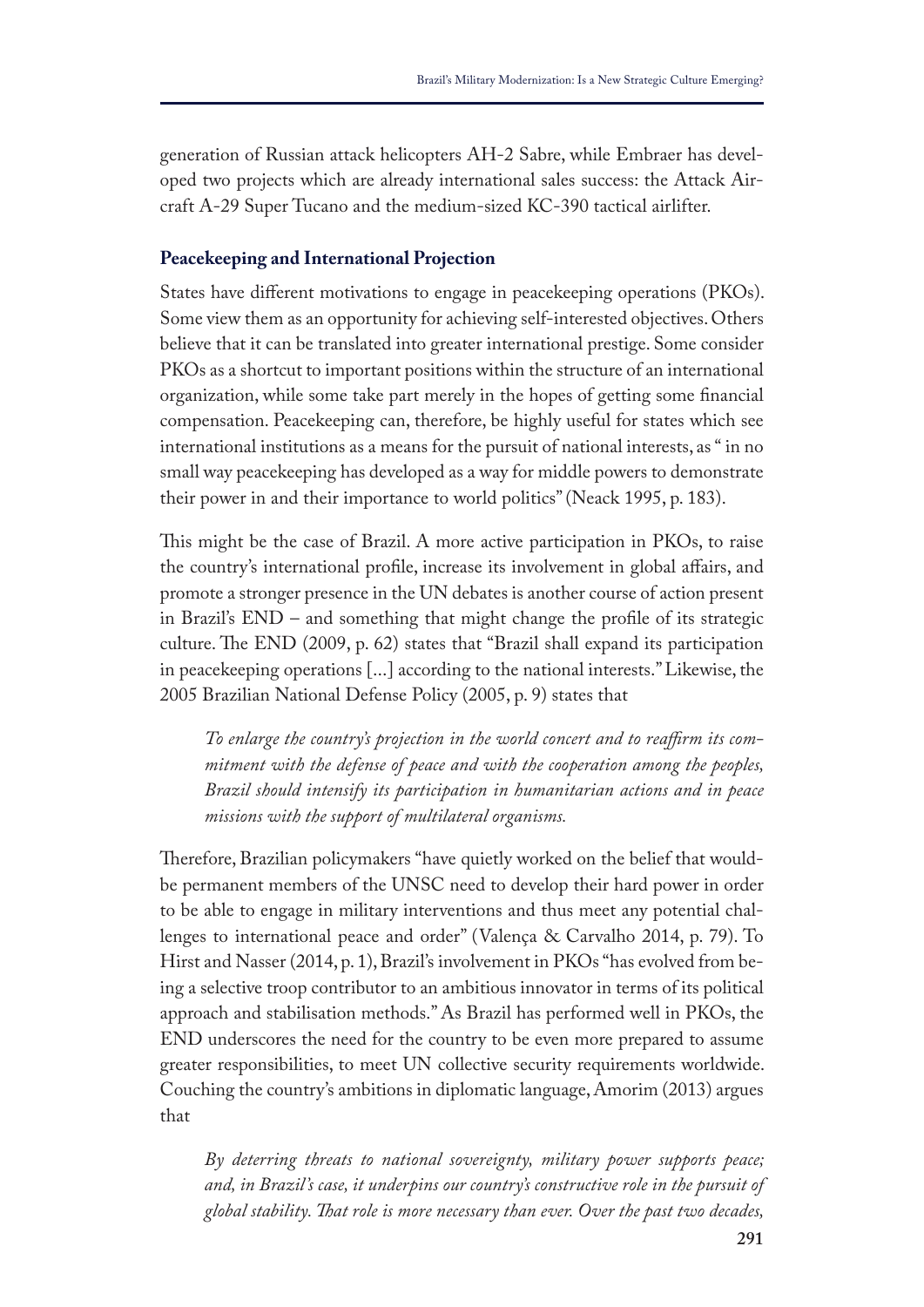generation of Russian attack helicopters AH-2 Sabre, while Embraer has developed two projects which are already international sales success: the Attack Aircraft A-29 Super Tucano and the medium-sized KC-390 tactical airlifter.

#### **Peacekeeping and International Projection**

States have diferent motivations to engage in peacekeeping operations (PKOs). Some view them as an opportunity for achieving self-interested objectives. Others believe that it can be translated into greater international prestige. Some consider PKOs as a shortcut to important positions within the structure of an international organization, while some take part merely in the hopes of getting some fnancial compensation. Peacekeeping can, therefore, be highly useful for states which see international institutions as a means for the pursuit of national interests, as " in no small way peacekeeping has developed as a way for middle powers to demonstrate their power in and their importance to world politics" (Neack 1995, p. 183).

This might be the case of Brazil. A more active participation in PKOs, to raise the country's international profle, increase its involvement in global afairs, and promote a stronger presence in the UN debates is another course of action present in Brazil's END – and something that might change the profle of its strategic culture. The END (2009, p. 62) states that "Brazil shall expand its participation in peacekeeping operations [...] according to the national interests." Likewise, the 2005 Brazilian National Defense Policy (2005, p. 9) states that

*To enlarge the country's projection in the world concert and to reafrm its commitment with the defense of peace and with the cooperation among the peoples, Brazil should intensify its participation in humanitarian actions and in peace missions with the support of multilateral organisms.*

Therefore, Brazilian policymakers "have quietly worked on the belief that wouldbe permanent members of the UNSC need to develop their hard power in order to be able to engage in military interventions and thus meet any potential challenges to international peace and order" (Valença & Carvalho 2014, p. 79). To Hirst and Nasser (2014, p. 1), Brazil's involvement in PKOs "has evolved from being a selective troop contributor to an ambitious innovator in terms of its political approach and stabilisation methods." As Brazil has performed well in PKOs, the END underscores the need for the country to be even more prepared to assume greater responsibilities, to meet UN collective security requirements worldwide. Couching the country's ambitions in diplomatic language, Amorim (2013) argues that

*By deterring threats to national sovereignty, military power supports peace; and, in Brazil's case, it underpins our country's constructive role in the pursuit of global stability. Tat role is more necessary than ever. Over the past two decades,*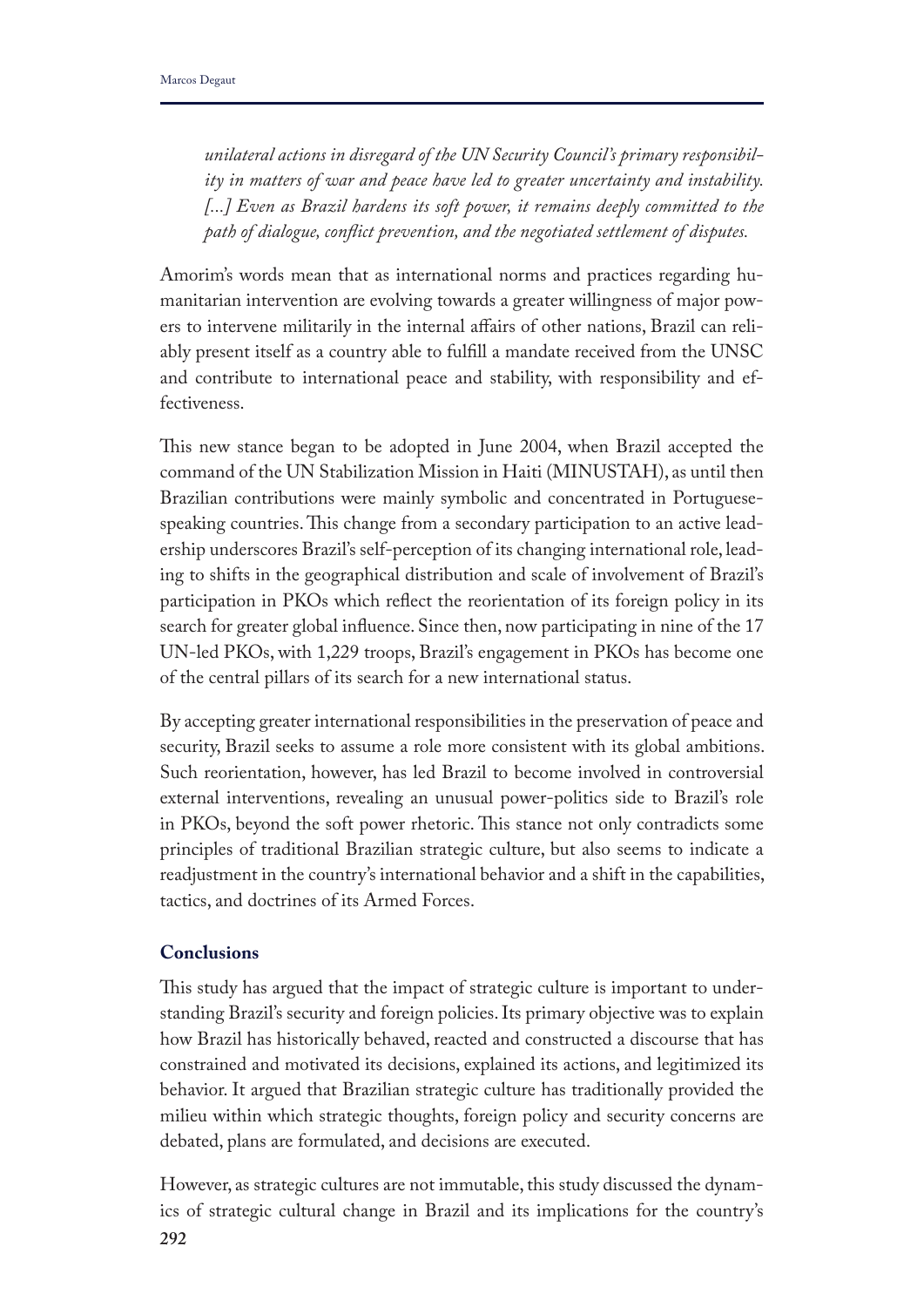*unilateral actions in disregard of the UN Security Council's primary responsibility in matters of war and peace have led to greater uncertainty and instability.*  [...] Even as Brazil hardens its soft power, it remains deeply committed to the *path of dialogue, confict prevention, and the negotiated settlement of disputes.* 

Amorim's words mean that as international norms and practices regarding humanitarian intervention are evolving towards a greater willingness of major powers to intervene militarily in the internal afairs of other nations, Brazil can reliably present itself as a country able to fulfll a mandate received from the UNSC and contribute to international peace and stability, with responsibility and effectiveness.

This new stance began to be adopted in June 2004, when Brazil accepted the command of the UN Stabilization Mission in Haiti (MINUSTAH), as until then Brazilian contributions were mainly symbolic and concentrated in Portuguesespeaking countries. This change from a secondary participation to an active leadership underscores Brazil's self-perception of its changing international role, leading to shifts in the geographical distribution and scale of involvement of Brazil's participation in PKOs which refect the reorientation of its foreign policy in its search for greater global infuence. Since then, now participating in nine of the 17 UN-led PKOs, with 1,229 troops, Brazil's engagement in PKOs has become one of the central pillars of its search for a new international status.

By accepting greater international responsibilities in the preservation of peace and security, Brazil seeks to assume a role more consistent with its global ambitions. Such reorientation, however, has led Brazil to become involved in controversial external interventions, revealing an unusual power-politics side to Brazil's role in PKOs, beyond the soft power rhetoric. This stance not only contradicts some principles of traditional Brazilian strategic culture, but also seems to indicate a readjustment in the country's international behavior and a shift in the capabilities, tactics, and doctrines of its Armed Forces.

# **Conclusions**

This study has argued that the impact of strategic culture is important to understanding Brazil's security and foreign policies. Its primary objective was to explain how Brazil has historically behaved, reacted and constructed a discourse that has constrained and motivated its decisions, explained its actions, and legitimized its behavior. It argued that Brazilian strategic culture has traditionally provided the milieu within which strategic thoughts, foreign policy and security concerns are debated, plans are formulated, and decisions are executed.

**292** However, as strategic cultures are not immutable, this study discussed the dynamics of strategic cultural change in Brazil and its implications for the country's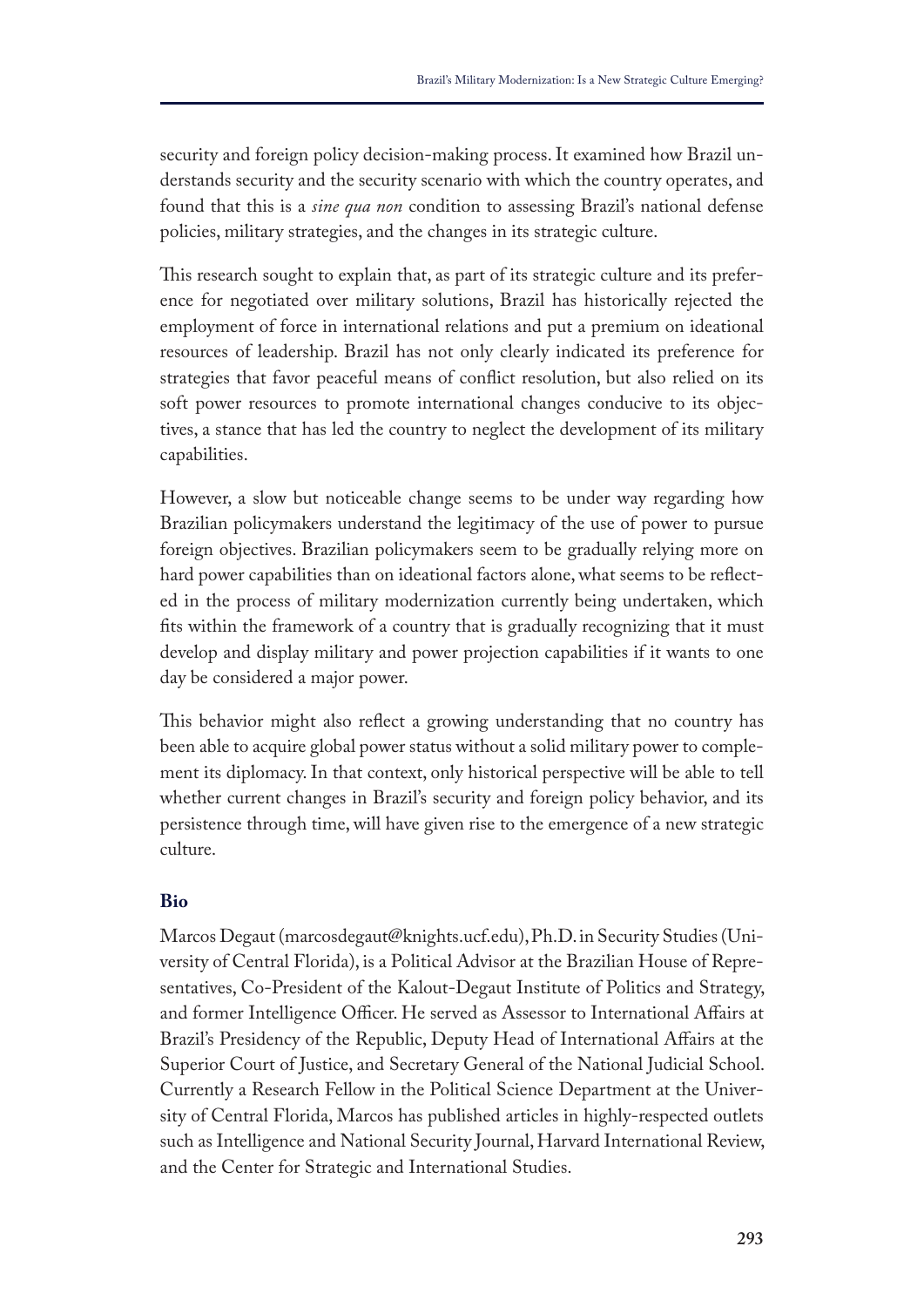security and foreign policy decision-making process. It examined how Brazil understands security and the security scenario with which the country operates, and found that this is a *sine qua non* condition to assessing Brazil's national defense policies, military strategies, and the changes in its strategic culture.

This research sought to explain that, as part of its strategic culture and its preference for negotiated over military solutions, Brazil has historically rejected the employment of force in international relations and put a premium on ideational resources of leadership. Brazil has not only clearly indicated its preference for strategies that favor peaceful means of confict resolution, but also relied on its soft power resources to promote international changes conducive to its objectives, a stance that has led the country to neglect the development of its military capabilities.

However, a slow but noticeable change seems to be under way regarding how Brazilian policymakers understand the legitimacy of the use of power to pursue foreign objectives. Brazilian policymakers seem to be gradually relying more on hard power capabilities than on ideational factors alone, what seems to be refected in the process of military modernization currently being undertaken, which fts within the framework of a country that is gradually recognizing that it must develop and display military and power projection capabilities if it wants to one day be considered a major power.

This behavior might also reflect a growing understanding that no country has been able to acquire global power status without a solid military power to complement its diplomacy. In that context, only historical perspective will be able to tell whether current changes in Brazil's security and foreign policy behavior, and its persistence through time, will have given rise to the emergence of a new strategic culture.

## **Bio**

Marcos Degaut (marcosdegaut@knights.ucf.edu), Ph.D. in Security Studies (University of Central Florida), is a Political Advisor at the Brazilian House of Representatives, Co-President of the Kalout-Degaut Institute of Politics and Strategy, and former Intelligence Officer. He served as Assessor to International Affairs at Brazil's Presidency of the Republic, Deputy Head of International Affairs at the Superior Court of Justice, and Secretary General of the National Judicial School. Currently a Research Fellow in the Political Science Department at the University of Central Florida, Marcos has published articles in highly-respected outlets such as Intelligence and National Security Journal, Harvard International Review, and the Center for Strategic and International Studies.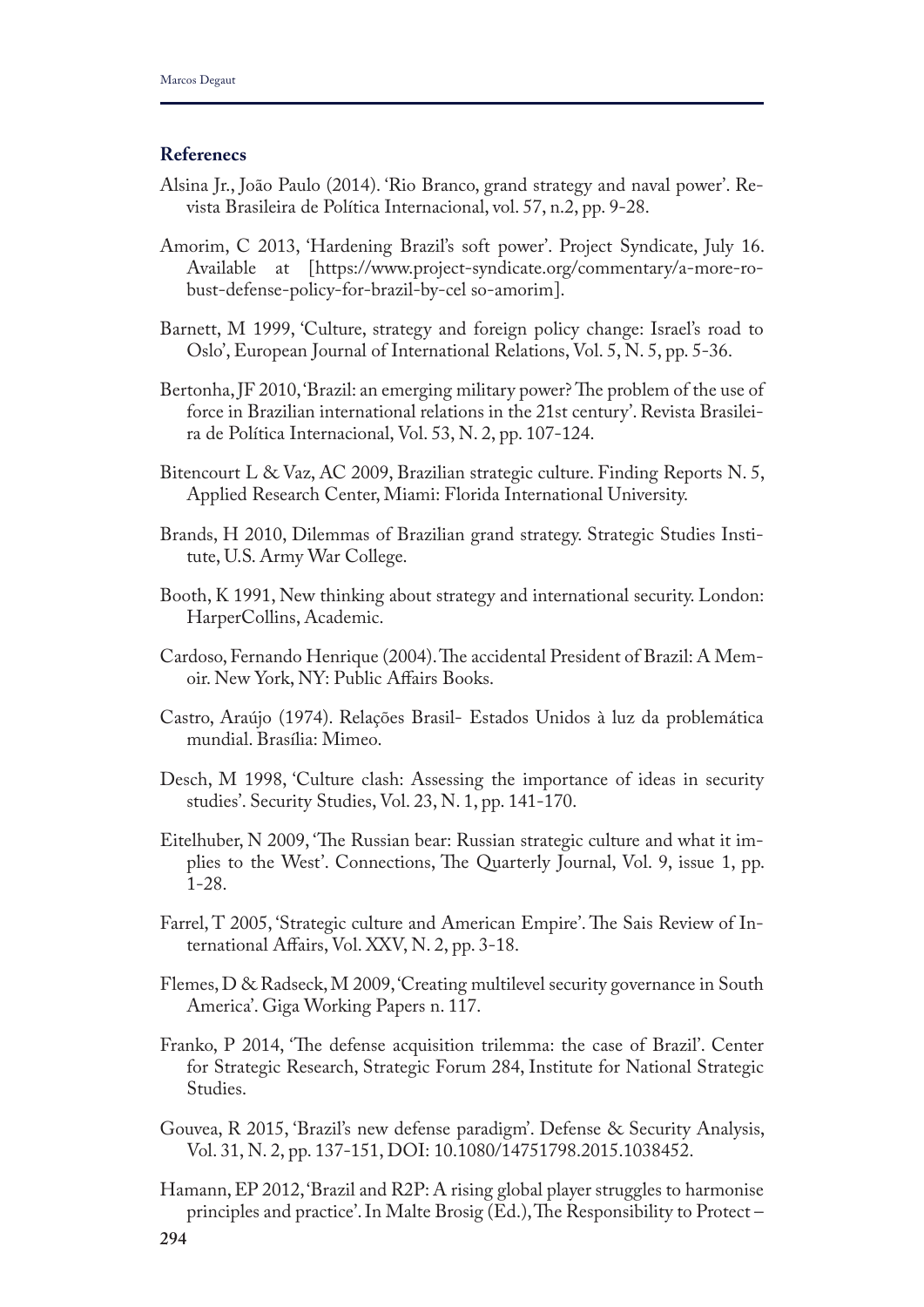### **Referenecs**

- Alsina Jr., João Paulo (2014). 'Rio Branco, grand strategy and naval power'. Revista Brasileira de Política Internacional, vol. 57, n.2, pp. 9-28.
- Amorim, C 2013, 'Hardening Brazil's soft power'. Project Syndicate, July 16. Available at [https://www.project-syndicate.org/commentary/a-more-robust-defense-policy-for-brazil-by-cel so-amorim].
- Barnett, M 1999, 'Culture, strategy and foreign policy change: Israel's road to Oslo', European Journal of International Relations, Vol. 5, N. 5, pp. 5-36.
- Bertonha, JF 2010, 'Brazil: an emerging military power? The problem of the use of force in Brazilian international relations in the 21st century'. Revista Brasileira de Política Internacional, Vol. 53, N. 2, pp. 107-124.
- Bitencourt L & Vaz, AC 2009, Brazilian strategic culture. Finding Reports N. 5, Applied Research Center, Miami: Florida International University.
- Brands, H 2010, Dilemmas of Brazilian grand strategy. Strategic Studies Institute, U.S. Army War College.
- Booth, K 1991, New thinking about strategy and international security. London: HarperCollins, Academic.
- Cardoso, Fernando Henrique (2004). The accidental President of Brazil: A Memoir. New York, NY: Public Afairs Books.
- Castro, Araújo (1974). Relações Brasil- Estados Unidos à luz da problemática mundial. Brasília: Mimeo.
- Desch, M 1998, 'Culture clash: Assessing the importance of ideas in security studies'. Security Studies, Vol. 23, N. 1, pp. 141-170.
- Eitelhuber, N 2009, 'The Russian bear: Russian strategic culture and what it implies to the West'. Connections, The Quarterly Journal, Vol. 9, issue 1, pp. 1-28.
- Farrel, T 2005, 'Strategic culture and American Empire'. The Sais Review of International Afairs, Vol. XXV, N. 2, pp. 3-18.
- Flemes, D & Radseck, M 2009, 'Creating multilevel security governance in South America'. Giga Working Papers n. 117.
- Franko, P 2014, 'The defense acquisition trilemma: the case of Brazil'. Center for Strategic Research, Strategic Forum 284, Institute for National Strategic Studies.
- Gouvea, R 2015, 'Brazil's new defense paradigm'. Defense & Security Analysis, Vol. 31, N. 2, pp. 137-151, DOI: 10.1080/14751798.2015.1038452.
- Hamann, EP 2012, 'Brazil and R2P: A rising global player struggles to harmonise principles and practice'. In Malte Brosig (Ed.), The Responsibility to Protect –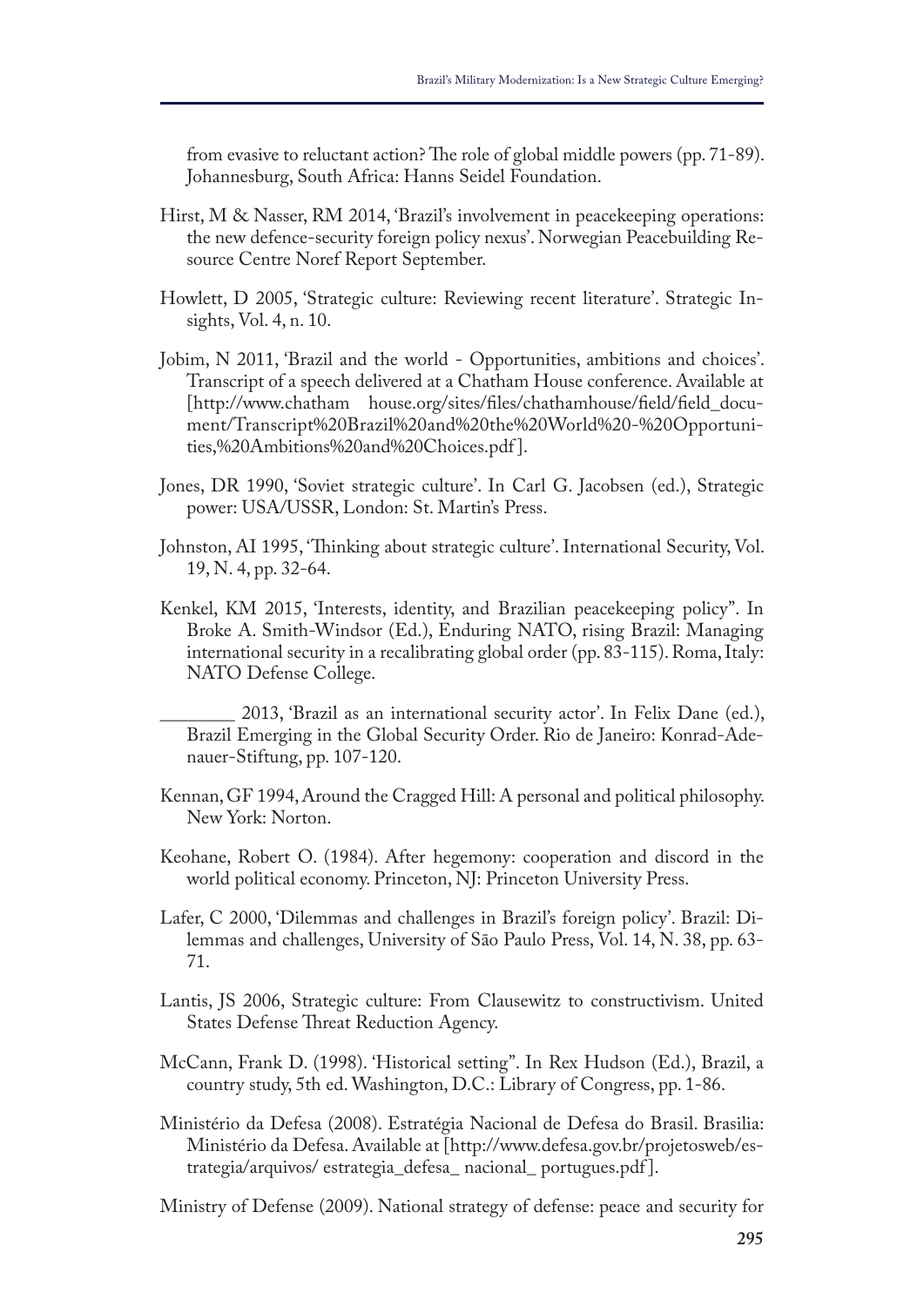from evasive to reluctant action? The role of global middle powers (pp. 71-89). Johannesburg, South Africa: Hanns Seidel Foundation.

- Hirst, M & Nasser, RM 2014, 'Brazil's involvement in peacekeeping operations: the new defence-security foreign policy nexus'. Norwegian Peacebuilding Resource Centre Noref Report September.
- Howlett, D 2005, 'Strategic culture: Reviewing recent literature'. Strategic Insights, Vol. 4, n. 10.
- Jobim, N 2011, 'Brazil and the world Opportunities, ambitions and choices'. Transcript of a speech delivered at a Chatham House conference. Available at [http://www.chatham house.org/sites/fles/chathamhouse/feld/feld\_document/Transcript%20Brazil%20and%20the%20World%20-%20Opportunities,%20Ambitions%20and%20Choices.pdf ].
- Jones, DR 1990, 'Soviet strategic culture'. In Carl G. Jacobsen (ed.), Strategic power: USA/USSR, London: St. Martin's Press.
- Johnston, AI 1995, 'Thinking about strategic culture'. International Security, Vol. 19, N. 4, pp. 32-64.
- Kenkel, KM 2015, 'Interests, identity, and Brazilian peacekeeping policy". In Broke A. Smith-Windsor (Ed.), Enduring NATO, rising Brazil: Managing international security in a recalibrating global order (pp. 83-115). Roma, Italy: NATO Defense College.

\_\_\_\_\_\_\_\_ 2013, 'Brazil as an international security actor'. In Felix Dane (ed.), Brazil Emerging in the Global Security Order. Rio de Janeiro: Konrad-Adenauer-Stiftung, pp. 107-120.

- Kennan, GF 1994, Around the Cragged Hill: A personal and political philosophy. New York: Norton.
- Keohane, Robert O. (1984). After hegemony: cooperation and discord in the world political economy. Princeton, NJ: Princeton University Press.
- Lafer, C 2000, 'Dilemmas and challenges in Brazil's foreign policy'. Brazil: Dilemmas and challenges, University of São Paulo Press, Vol. 14, N. 38, pp. 63- 71.
- Lantis, JS 2006, Strategic culture: From Clausewitz to constructivism. United States Defense Threat Reduction Agency.
- McCann, Frank D. (1998). 'Historical setting". In Rex Hudson (Ed.), Brazil, a country study, 5th ed. Washington, D.C.: Library of Congress, pp. 1-86.
- Ministério da Defesa (2008). Estratégia Nacional de Defesa do Brasil. Brasilia: Ministério da Defesa. Available at [http://www.defesa.gov.br/projetosweb/estrategia/arquivos/ estrategia\_defesa\_ nacional\_ portugues.pdf ].

Ministry of Defense (2009). National strategy of defense: peace and security for